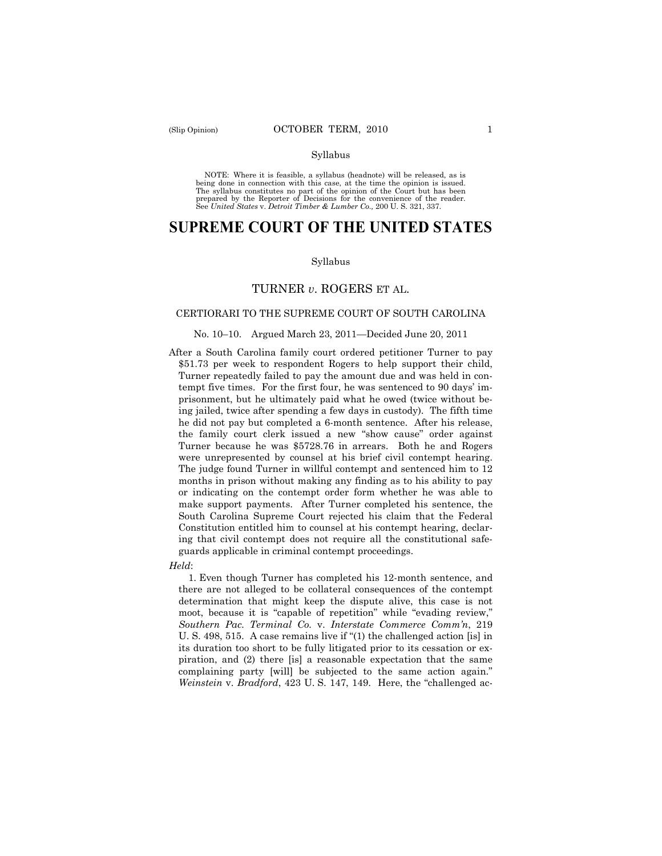NOTE: Where it is feasible, a syllabus (headnote) will be released, as is being done in connection with this case, at the time the opinion is issued. The syllabus constitutes no part of the opinion of the Court but has been<br>prepared by the Reporter of Decisions for the convenience of the reader.<br>See United States v. Detroit Timber & Lumber Co., 200 U. S. 321, 337.

# **SUPREME COURT OF THE UNITED STATES**

#### Syllabus

# TURNER *v*. ROGERS ET AL.

#### CERTIORARI TO THE SUPREME COURT OF SOUTH CAROLINA

#### No. 10–10. Argued March 23, 2011—Decided June 20, 2011

After a South Carolina family court ordered petitioner Turner to pay \$51.73 per week to respondent Rogers to help support their child, Turner repeatedly failed to pay the amount due and was held in contempt five times. For the first four, he was sentenced to 90 days' imprisonment, but he ultimately paid what he owed (twice without being jailed, twice after spending a few days in custody). The fifth time he did not pay but completed a 6-month sentence. After his release, the family court clerk issued a new "show cause" order against Turner because he was \$5728.76 in arrears. Both he and Rogers were unrepresented by counsel at his brief civil contempt hearing. The judge found Turner in willful contempt and sentenced him to 12 months in prison without making any finding as to his ability to pay or indicating on the contempt order form whether he was able to make support payments. After Turner completed his sentence, the South Carolina Supreme Court rejected his claim that the Federal Constitution entitled him to counsel at his contempt hearing, declaring that civil contempt does not require all the constitutional safeguards applicable in criminal contempt proceedings.

#### *Held*:

1. Even though Turner has completed his 12-month sentence, and there are not alleged to be collateral consequences of the contempt determination that might keep the dispute alive, this case is not moot, because it is "capable of repetition" while "evading review," *Southern Pac. Terminal Co.* v. *Interstate Commerce Comm'n*, 219 U. S. 498, 515. A case remains live if "(1) the challenged action [is] in its duration too short to be fully litigated prior to its cessation or expiration, and (2) there [is] a reasonable expectation that the same complaining party [will] be subjected to the same action again." *Weinstein* v. *Bradford*, 423 U. S. 147, 149. Here, the "challenged ac-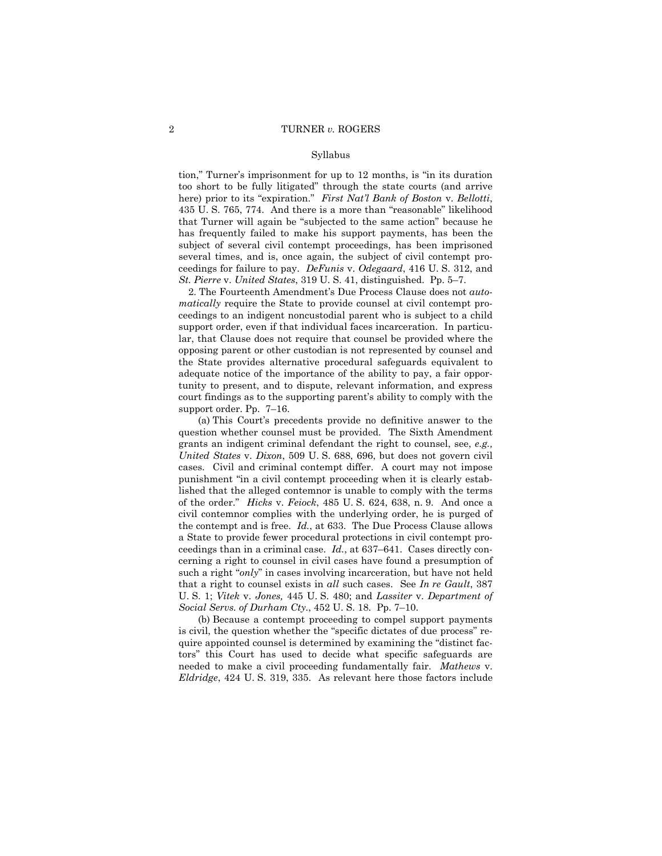tion," Turner's imprisonment for up to 12 months, is "in its duration too short to be fully litigated" through the state courts (and arrive here) prior to its "expiration." *First Nat'l Bank of Boston* v. *Bellotti*, 435 U. S. 765, 774. And there is a more than "reasonable" likelihood that Turner will again be "subjected to the same action" because he has frequently failed to make his support payments, has been the subject of several civil contempt proceedings, has been imprisoned several times, and is, once again, the subject of civil contempt proceedings for failure to pay. *DeFunis* v. *Odegaard*, 416 U. S. 312, and *St. Pierre* v. *United States*, 319 U. S. 41, distinguished. Pp. 5–7.

2. The Fourteenth Amendment's Due Process Clause does not *automatically* require the State to provide counsel at civil contempt proceedings to an indigent noncustodial parent who is subject to a child support order, even if that individual faces incarceration. In particular, that Clause does not require that counsel be provided where the opposing parent or other custodian is not represented by counsel and the State provides alternative procedural safeguards equivalent to adequate notice of the importance of the ability to pay, a fair opportunity to present, and to dispute, relevant information, and express court findings as to the supporting parent's ability to comply with the support order. Pp. 7–16.

(a) This Court's precedents provide no definitive answer to the question whether counsel must be provided. The Sixth Amendment grants an indigent criminal defendant the right to counsel, see, *e.g., United States* v. *Dixon*, 509 U. S. 688, 696, but does not govern civil cases. Civil and criminal contempt differ. A court may not impose punishment "in a civil contempt proceeding when it is clearly established that the alleged contemnor is unable to comply with the terms of the order." *Hicks* v. *Feiock*, 485 U. S. 624, 638, n. 9. And once a civil contemnor complies with the underlying order, he is purged of the contempt and is free. *Id.*, at 633. The Due Process Clause allows a State to provide fewer procedural protections in civil contempt proceedings than in a criminal case. *Id.*, at 637–641. Cases directly concerning a right to counsel in civil cases have found a presumption of such a right "*only*" in cases involving incarceration, but have not held that a right to counsel exists in *all* such cases. See *In re Gault*, 387 U. S. 1; *Vitek* v. *Jones,* 445 U. S. 480; and *Lassiter* v. *Department of Social Servs. of Durham Cty.*, 452 U. S. 18. Pp. 7–10.

(b) Because a contempt proceeding to compel support payments is civil, the question whether the "specific dictates of due process" require appointed counsel is determined by examining the "distinct factors" this Court has used to decide what specific safeguards are needed to make a civil proceeding fundamentally fair. *Mathews* v. *Eldridge*, 424 U. S. 319, 335. As relevant here those factors include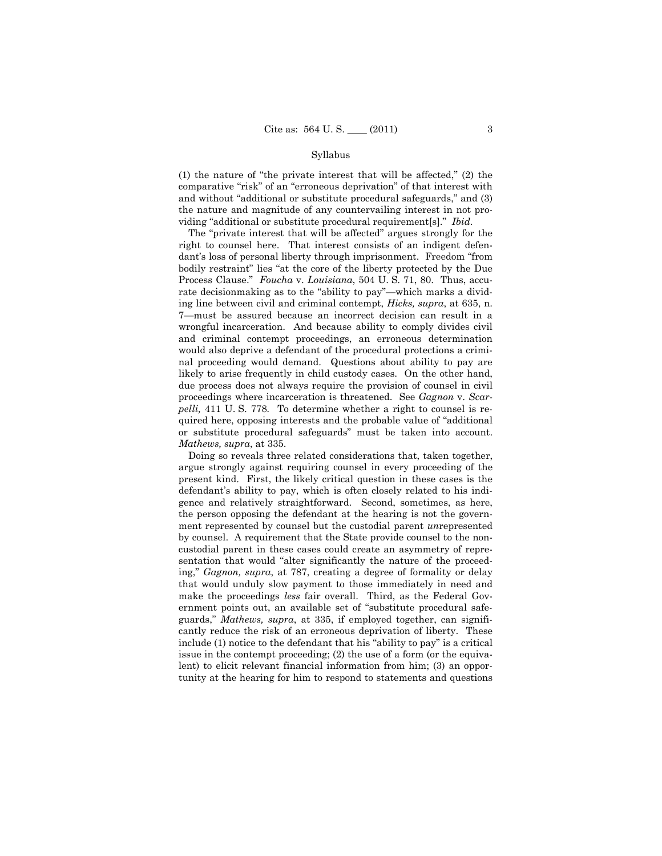(1) the nature of "the private interest that will be affected," (2) the comparative "risk" of an "erroneous deprivation" of that interest with and without "additional or substitute procedural safeguards," and (3) the nature and magnitude of any countervailing interest in not providing "additional or substitute procedural requirement[s]." *Ibid.* 

The "private interest that will be affected" argues strongly for the right to counsel here. That interest consists of an indigent defendant's loss of personal liberty through imprisonment. Freedom "from bodily restraint" lies "at the core of the liberty protected by the Due Process Clause." *Foucha* v. *Louisiana*, 504 U. S. 71, 80. Thus, accurate decisionmaking as to the "ability to pay"—which marks a dividing line between civil and criminal contempt, *Hicks, supra*, at 635, n. 7—must be assured because an incorrect decision can result in a wrongful incarceration. And because ability to comply divides civil and criminal contempt proceedings, an erroneous determination would also deprive a defendant of the procedural protections a criminal proceeding would demand. Questions about ability to pay are likely to arise frequently in child custody cases. On the other hand, due process does not always require the provision of counsel in civil proceedings where incarceration is threatened. See *Gagnon* v. *Scarpelli,* 411 U. S. 778*.* To determine whether a right to counsel is required here, opposing interests and the probable value of "additional or substitute procedural safeguards" must be taken into account. *Mathews, supra*, at 335.

Doing so reveals three related considerations that, taken together, argue strongly against requiring counsel in every proceeding of the present kind. First, the likely critical question in these cases is the defendant's ability to pay, which is often closely related to his indigence and relatively straightforward. Second, sometimes, as here, the person opposing the defendant at the hearing is not the government represented by counsel but the custodial parent *un*represented by counsel. A requirement that the State provide counsel to the noncustodial parent in these cases could create an asymmetry of representation that would "alter significantly the nature of the proceeding," *Gagnon, supra*, at 787, creating a degree of formality or delay that would unduly slow payment to those immediately in need and make the proceedings *less* fair overall. Third, as the Federal Government points out, an available set of "substitute procedural safeguards," *Mathews, supra*, at 335, if employed together, can significantly reduce the risk of an erroneous deprivation of liberty. These include (1) notice to the defendant that his "ability to pay" is a critical issue in the contempt proceeding; (2) the use of a form (or the equivalent) to elicit relevant financial information from him; (3) an opportunity at the hearing for him to respond to statements and questions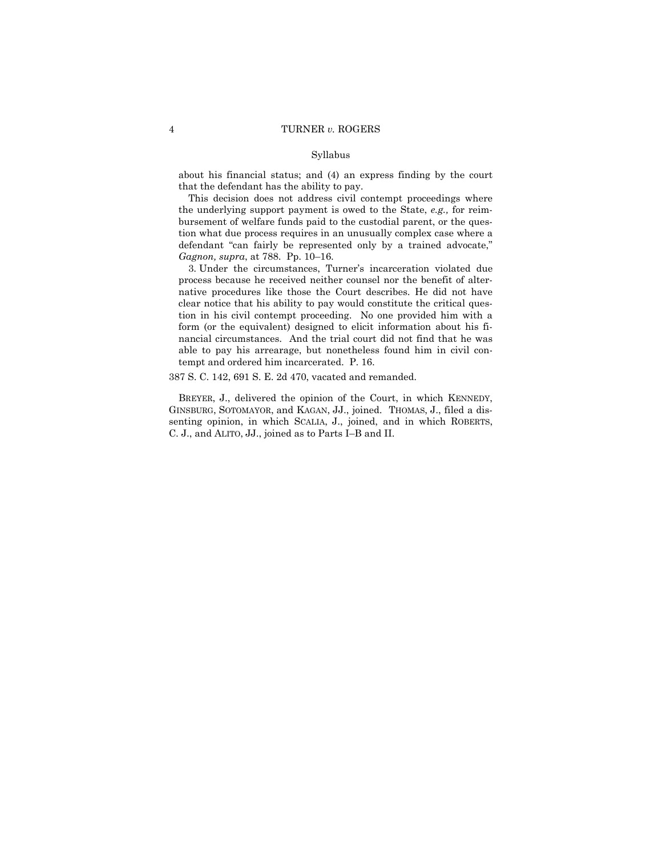about his financial status; and (4) an express finding by the court that the defendant has the ability to pay.

This decision does not address civil contempt proceedings where the underlying support payment is owed to the State, *e.g.,* for reimbursement of welfare funds paid to the custodial parent, or the question what due process requires in an unusually complex case where a defendant "can fairly be represented only by a trained advocate," *Gagnon, supra*, at 788. Pp. 10–16.

3. Under the circumstances, Turner's incarceration violated due process because he received neither counsel nor the benefit of alternative procedures like those the Court describes. He did not have clear notice that his ability to pay would constitute the critical question in his civil contempt proceeding. No one provided him with a form (or the equivalent) designed to elicit information about his financial circumstances. And the trial court did not find that he was able to pay his arrearage, but nonetheless found him in civil contempt and ordered him incarcerated. P. 16.

387 S. C. 142, 691 S. E. 2d 470, vacated and remanded.

BREYER, J., delivered the opinion of the Court, in which KENNEDY, GINSBURG, SOTOMAYOR, and KAGAN, JJ., joined. THOMAS, J., filed a dissenting opinion, in which SCALIA, J., joined, and in which ROBERTS, C. J., and ALITO, JJ., joined as to Parts I–B and II.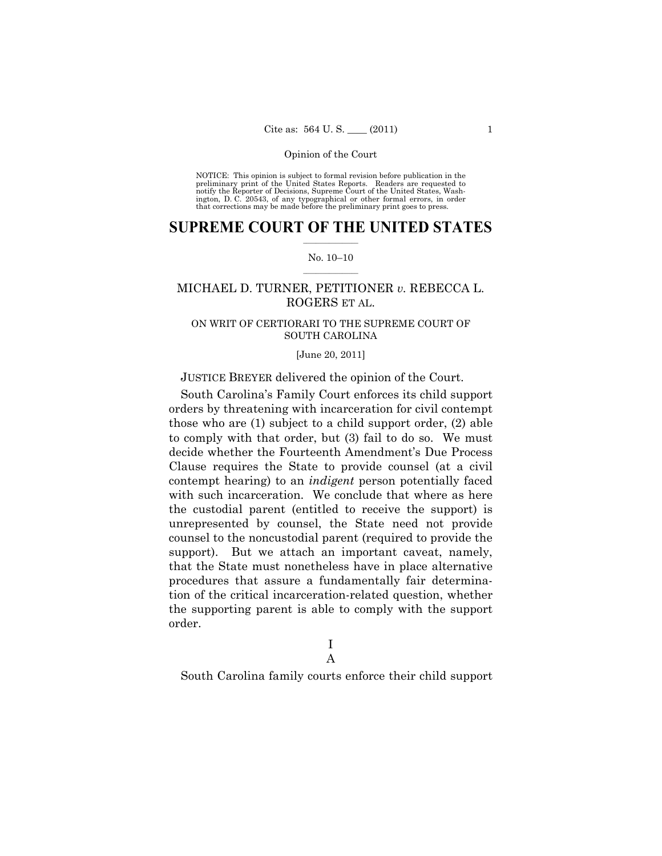NOTICE: This opinion is subject to formal revision before publication in the preliminary print of the United States Reports. Readers are requested to notify the Reporter of Decisions, Supreme Court of the United States, Washington, D. C. 20543, of any typographical or other formal errors, in order that corrections may be made before the preliminary print goes to press.

### $\frac{1}{2}$  ,  $\frac{1}{2}$  ,  $\frac{1}{2}$  ,  $\frac{1}{2}$  ,  $\frac{1}{2}$  ,  $\frac{1}{2}$  ,  $\frac{1}{2}$ **SUPREME COURT OF THE UNITED STATES**

#### $\frac{1}{2}$  ,  $\frac{1}{2}$  ,  $\frac{1}{2}$  ,  $\frac{1}{2}$  ,  $\frac{1}{2}$  ,  $\frac{1}{2}$ No. 10–10

# MICHAEL D. TURNER, PETITIONER *v.* REBECCA L. ROGERS ET AL.

# ON WRIT OF CERTIORARI TO THE SUPREME COURT OF SOUTH CAROLINA

#### [June 20, 2011]

# JUSTICE BREYER delivered the opinion of the Court.

South Carolina's Family Court enforces its child support orders by threatening with incarceration for civil contempt those who are (1) subject to a child support order, (2) able to comply with that order, but (3) fail to do so. We must decide whether the Fourteenth Amendment's Due Process Clause requires the State to provide counsel (at a civil contempt hearing) to an *indigent* person potentially faced with such incarceration. We conclude that where as here the custodial parent (entitled to receive the support) is unrepresented by counsel, the State need not provide counsel to the noncustodial parent (required to provide the support). But we attach an important caveat, namely, that the State must nonetheless have in place alternative procedures that assure a fundamentally fair determination of the critical incarceration-related question, whether the supporting parent is able to comply with the support order.

# I A

South Carolina family courts enforce their child support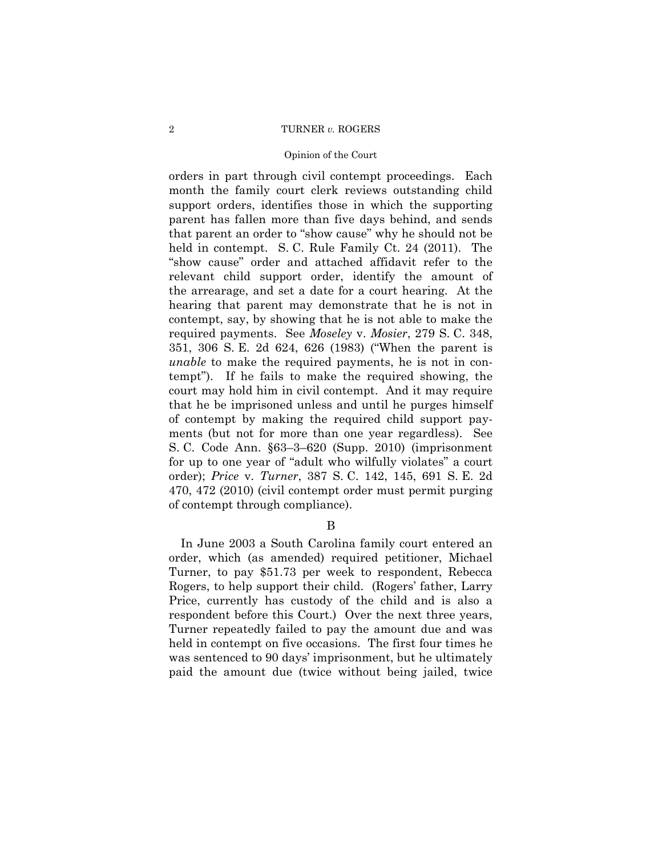#### Opinion of the Court

orders in part through civil contempt proceedings. Each month the family court clerk reviews outstanding child support orders, identifies those in which the supporting parent has fallen more than five days behind, and sends that parent an order to "show cause" why he should not be held in contempt. S. C. Rule Family Ct. 24 (2011). The "show cause" order and attached affidavit refer to the relevant child support order, identify the amount of the arrearage, and set a date for a court hearing. At the hearing that parent may demonstrate that he is not in contempt, say, by showing that he is not able to make the required payments. See *Moseley* v. *Mosier*, 279 S. C. 348, 351, 306 S. E. 2d 624, 626 (1983) ("When the parent is *unable* to make the required payments, he is not in contempt"). If he fails to make the required showing, the court may hold him in civil contempt. And it may require that he be imprisoned unless and until he purges himself of contempt by making the required child support payments (but not for more than one year regardless). See S. C. Code Ann. §63–3–620 (Supp. 2010) (imprisonment for up to one year of "adult who wilfully violates" a court order); *Price* v. *Turner*, 387 S. C. 142, 145, 691 S. E. 2d 470, 472 (2010) (civil contempt order must permit purging of contempt through compliance).

# B

In June 2003 a South Carolina family court entered an order, which (as amended) required petitioner, Michael Turner, to pay \$51.73 per week to respondent, Rebecca Rogers, to help support their child. (Rogers' father, Larry Price, currently has custody of the child and is also a respondent before this Court.) Over the next three years, Turner repeatedly failed to pay the amount due and was held in contempt on five occasions. The first four times he was sentenced to 90 days' imprisonment, but he ultimately paid the amount due (twice without being jailed, twice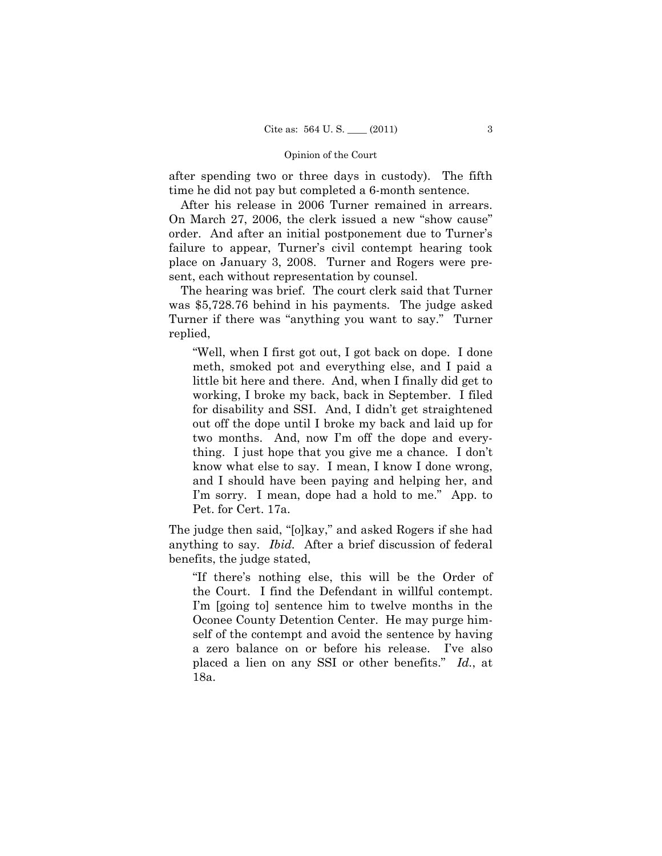after spending two or three days in custody). The fifth time he did not pay but completed a 6-month sentence.

After his release in 2006 Turner remained in arrears. On March 27, 2006, the clerk issued a new "show cause" order. And after an initial postponement due to Turner's failure to appear, Turner's civil contempt hearing took place on January 3, 2008. Turner and Rogers were present, each without representation by counsel.

The hearing was brief. The court clerk said that Turner was \$5,728.76 behind in his payments. The judge asked Turner if there was "anything you want to say." Turner replied,

"Well, when I first got out, I got back on dope. I done meth, smoked pot and everything else, and I paid a little bit here and there. And, when I finally did get to working, I broke my back, back in September. I filed for disability and SSI. And, I didn't get straightened out off the dope until I broke my back and laid up for two months. And, now I'm off the dope and everything. I just hope that you give me a chance. I don't know what else to say. I mean, I know I done wrong, and I should have been paying and helping her, and I'm sorry. I mean, dope had a hold to me." App. to Pet. for Cert. 17a.

The judge then said, "[o]kay," and asked Rogers if she had anything to say. *Ibid.* After a brief discussion of federal benefits, the judge stated,

"If there's nothing else, this will be the Order of the Court. I find the Defendant in willful contempt. I'm [going to] sentence him to twelve months in the Oconee County Detention Center. He may purge himself of the contempt and avoid the sentence by having a zero balance on or before his release. I've also placed a lien on any SSI or other benefits." *Id.*, at 18a.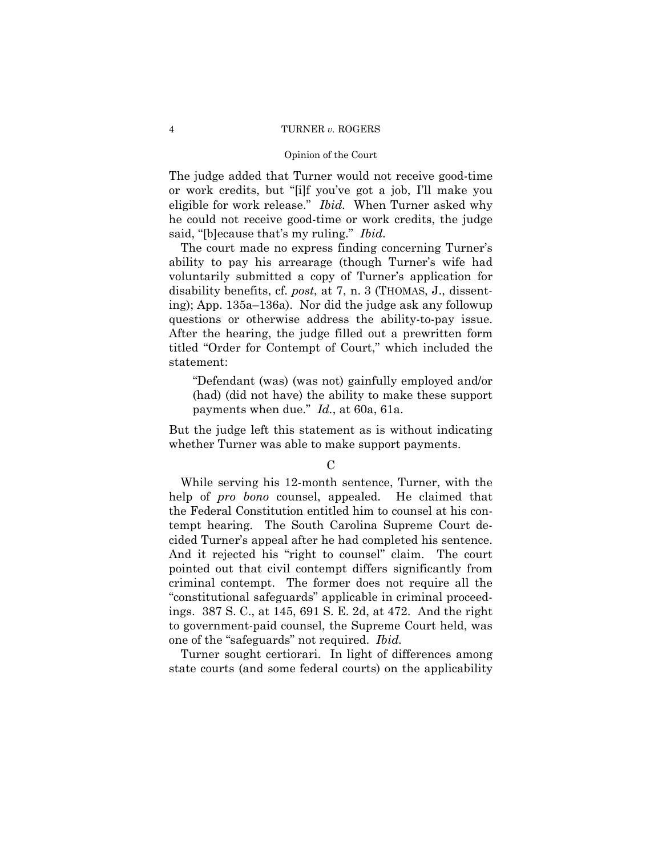#### Opinion of the Court

The judge added that Turner would not receive good-time or work credits, but "[i]f you've got a job, I'll make you eligible for work release." *Ibid.* When Turner asked why he could not receive good-time or work credits, the judge said, "[b]ecause that's my ruling." *Ibid.* 

The court made no express finding concerning Turner's ability to pay his arrearage (though Turner's wife had voluntarily submitted a copy of Turner's application for disability benefits, cf. *post*, at 7, n. 3 (THOMAS, J., dissenting); App. 135a–136a). Nor did the judge ask any followup questions or otherwise address the ability-to-pay issue. After the hearing, the judge filled out a prewritten form titled "Order for Contempt of Court," which included the statement:

"Defendant (was) (was not) gainfully employed and/or (had) (did not have) the ability to make these support payments when due." *Id.*, at 60a, 61a.

But the judge left this statement as is without indicating whether Turner was able to make support payments.

While serving his 12-month sentence, Turner, with the help of *pro bono* counsel, appealed. He claimed that the Federal Constitution entitled him to counsel at his contempt hearing. The South Carolina Supreme Court decided Turner's appeal after he had completed his sentence. And it rejected his "right to counsel" claim. The court pointed out that civil contempt differs significantly from criminal contempt. The former does not require all the "constitutional safeguards" applicable in criminal proceedings. 387 S. C., at 145, 691 S. E. 2d, at 472. And the right to government-paid counsel, the Supreme Court held, was one of the "safeguards" not required. *Ibid.* 

Turner sought certiorari. In light of differences among state courts (and some federal courts) on the applicability

C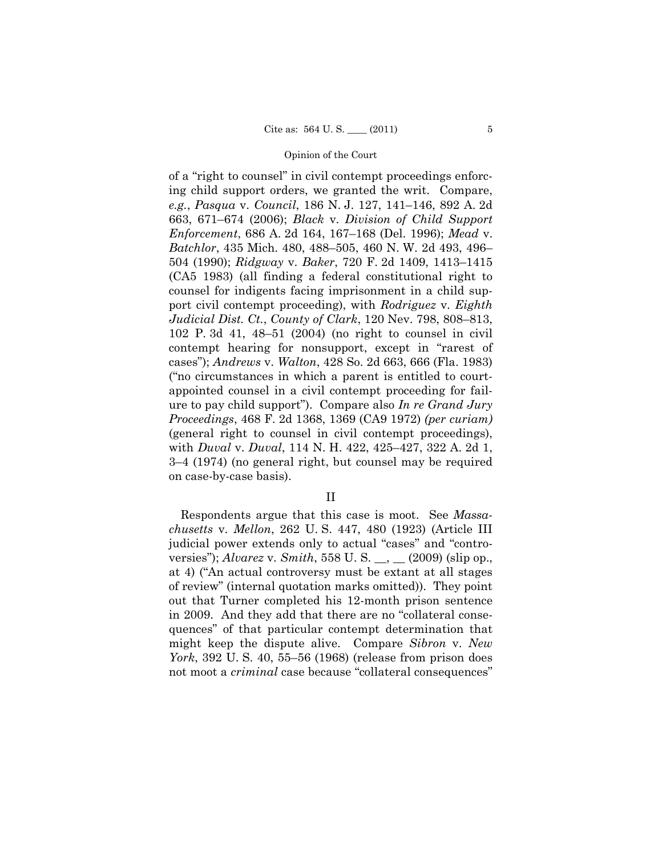of a "right to counsel" in civil contempt proceedings enforcing child support orders, we granted the writ. Compare, *e.g.*, *Pasqua* v. *Council*, 186 N. J. 127, 141–146, 892 A. 2d 663, 671–674 (2006); *Black* v. *Division of Child Support Enforcement*, 686 A. 2d 164, 167–168 (Del. 1996); *Mead* v. *Batchlor*, 435 Mich. 480, 488–505, 460 N. W. 2d 493, 496– 504 (1990); *Ridgway* v. *Baker*, 720 F. 2d 1409, 1413–1415 (CA5 1983) (all finding a federal constitutional right to counsel for indigents facing imprisonment in a child support civil contempt proceeding), with *Rodriguez* v. *Eighth Judicial Dist. Ct.*, *County of Clark*, 120 Nev. 798, 808–813, 102 P. 3d 41, 48–51 (2004) (no right to counsel in civil contempt hearing for nonsupport, except in "rarest of cases"); *Andrews* v. *Walton*, 428 So. 2d 663, 666 (Fla. 1983) ("no circumstances in which a parent is entitled to courtappointed counsel in a civil contempt proceeding for failure to pay child support"). Compare also *In re Grand Jury Proceedings*, 468 F. 2d 1368, 1369 (CA9 1972) *(per curiam)* (general right to counsel in civil contempt proceedings), with *Duval* v. *Duval*, 114 N. H. 422, 425–427, 322 A. 2d 1, 3–4 (1974) (no general right, but counsel may be required on case-by-case basis).

II

Respondents argue that this case is moot. See *Massachusetts* v. *Mellon*, 262 U. S. 447, 480 (1923) (Article III judicial power extends only to actual "cases" and "controversies"); *Alvarez* v. *Smith*, 558 U. S. \_\_, \_\_ (2009) (slip op., at 4) ("An actual controversy must be extant at all stages of review" (internal quotation marks omitted)). They point out that Turner completed his 12-month prison sentence in 2009. And they add that there are no "collateral consequences" of that particular contempt determination that might keep the dispute alive. Compare *Sibron* v. *New York*, 392 U. S. 40, 55–56 (1968) (release from prison does not moot a *criminal* case because "collateral consequences"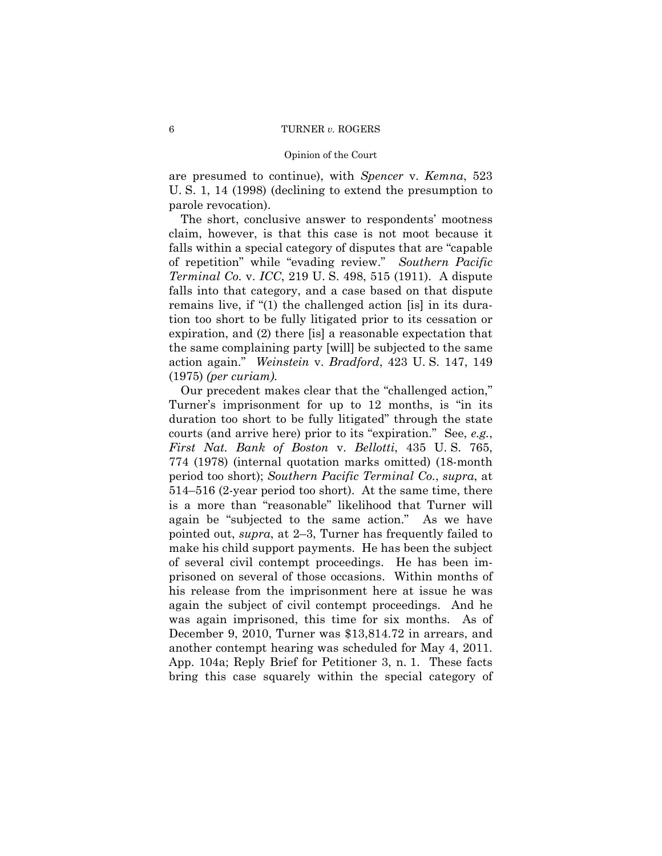are presumed to continue), with *Spencer* v. *Kemna*, 523 U. S. 1, 14 (1998) (declining to extend the presumption to parole revocation).

The short, conclusive answer to respondents' mootness claim, however, is that this case is not moot because it falls within a special category of disputes that are "capable of repetition" while "evading review." *Southern Pacific Terminal Co.* v. *ICC*, 219 U. S. 498, 515 (1911). A dispute falls into that category, and a case based on that dispute remains live, if "(1) the challenged action [is] in its duration too short to be fully litigated prior to its cessation or expiration, and (2) there [is] a reasonable expectation that the same complaining party [will] be subjected to the same action again." *Weinstein* v. *Bradford*, 423 U. S. 147, 149 (1975) *(per curiam).*

Our precedent makes clear that the "challenged action," Turner's imprisonment for up to 12 months, is "in its duration too short to be fully litigated" through the state courts (and arrive here) prior to its "expiration." See, *e.g.*, *First Nat. Bank of Boston* v. *Bellotti*, 435 U. S. 765, 774 (1978) (internal quotation marks omitted) (18-month period too short); *Southern Pacific Terminal Co.*, *supra*, at 514–516 (2-year period too short). At the same time, there is a more than "reasonable" likelihood that Turner will again be "subjected to the same action." As we have pointed out, *supra*, at 2–3, Turner has frequently failed to make his child support payments. He has been the subject of several civil contempt proceedings. He has been imprisoned on several of those occasions. Within months of his release from the imprisonment here at issue he was again the subject of civil contempt proceedings. And he was again imprisoned, this time for six months. As of December 9, 2010, Turner was \$13,814.72 in arrears, and another contempt hearing was scheduled for May 4, 2011. App. 104a; Reply Brief for Petitioner 3, n. 1. These facts bring this case squarely within the special category of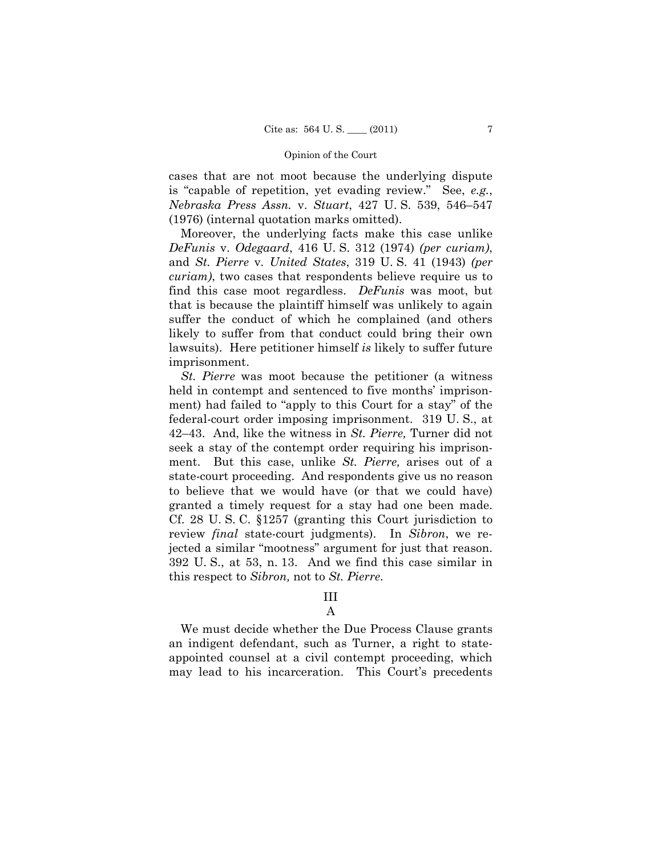cases that are not moot because the underlying dispute is "capable of repetition, yet evading review." See, *e.g.*, *Nebraska Press Assn.* v. *Stuart*, 427 U. S. 539, 546–547 (1976) (internal quotation marks omitted).

Moreover, the underlying facts make this case unlike *DeFunis* v. *Odegaard*, 416 U. S. 312 (1974) *(per curiam)*, and *St. Pierre* v. *United States*, 319 U. S. 41 (1943) *(per curiam)*, two cases that respondents believe require us to find this case moot regardless. *DeFunis* was moot, but that is because the plaintiff himself was unlikely to again suffer the conduct of which he complained (and others likely to suffer from that conduct could bring their own lawsuits). Here petitioner himself *is* likely to suffer future imprisonment.

*St. Pierre* was moot because the petitioner (a witness held in contempt and sentenced to five months' imprisonment) had failed to "apply to this Court for a stay" of the federal-court order imposing imprisonment. 319 U. S., at 42–43. And, like the witness in *St. Pierre,* Turner did not seek a stay of the contempt order requiring his imprisonment. But this case, unlike *St. Pierre,* arises out of a state-court proceeding. And respondents give us no reason to believe that we would have (or that we could have) granted a timely request for a stay had one been made. Cf. 28 U. S. C. §1257 (granting this Court jurisdiction to review *final* state-court judgments). In *Sibron*, we rejected a similar "mootness" argument for just that reason. 392 U. S., at 53, n. 13. And we find this case similar in this respect to *Sibron,* not to *St. Pierre*.

# III

# A

We must decide whether the Due Process Clause grants an indigent defendant, such as Turner, a right to stateappointed counsel at a civil contempt proceeding, which may lead to his incarceration. This Court's precedents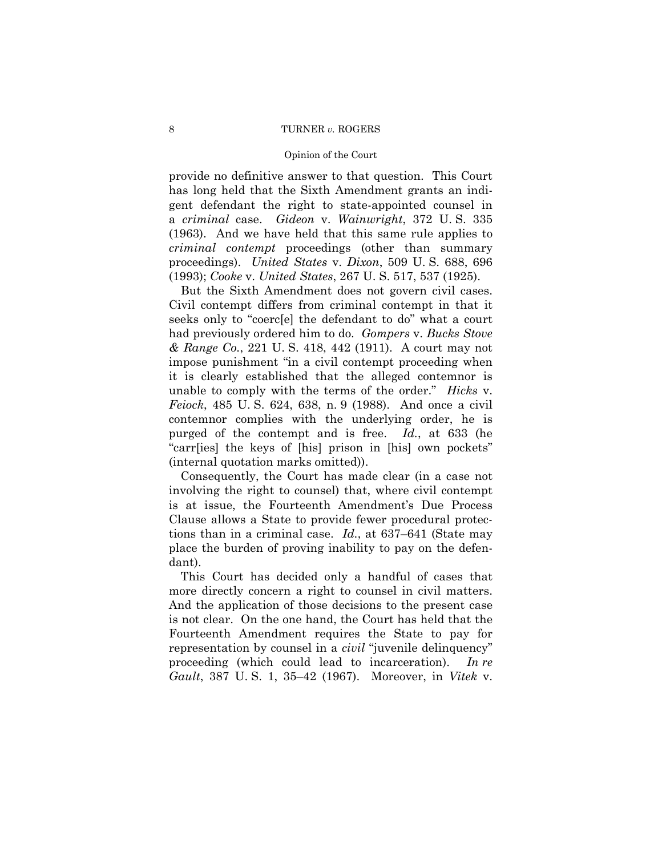#### Opinion of the Court

provide no definitive answer to that question. This Court has long held that the Sixth Amendment grants an indigent defendant the right to state-appointed counsel in a *criminal* case. *Gideon* v. *Wainwright*, 372 U. S. 335 (1963). And we have held that this same rule applies to *criminal contempt* proceedings (other than summary proceedings). *United States* v. *Dixon*, 509 U. S. 688, 696 (1993); *Cooke* v. *United States*, 267 U. S. 517, 537 (1925).

But the Sixth Amendment does not govern civil cases. Civil contempt differs from criminal contempt in that it seeks only to "coerc[e] the defendant to do" what a court had previously ordered him to do. *Gompers* v. *Bucks Stove & Range Co.*, 221 U. S. 418, 442 (1911). A court may not impose punishment "in a civil contempt proceeding when it is clearly established that the alleged contemnor is unable to comply with the terms of the order." *Hicks* v. *Feiock*, 485 U. S. 624, 638, n. 9 (1988). And once a civil contemnor complies with the underlying order, he is purged of the contempt and is free. *Id.*, at 633 (he "carr[ies] the keys of [his] prison in [his] own pockets" (internal quotation marks omitted)).

Consequently, the Court has made clear (in a case not involving the right to counsel) that, where civil contempt is at issue, the Fourteenth Amendment's Due Process Clause allows a State to provide fewer procedural protections than in a criminal case. *Id.*, at 637–641 (State may place the burden of proving inability to pay on the defendant).

This Court has decided only a handful of cases that more directly concern a right to counsel in civil matters. And the application of those decisions to the present case is not clear. On the one hand, the Court has held that the Fourteenth Amendment requires the State to pay for representation by counsel in a *civil* "juvenile delinquency" proceeding (which could lead to incarceration). *In re Gault*, 387 U. S. 1, 35–42 (1967). Moreover, in *Vitek* v.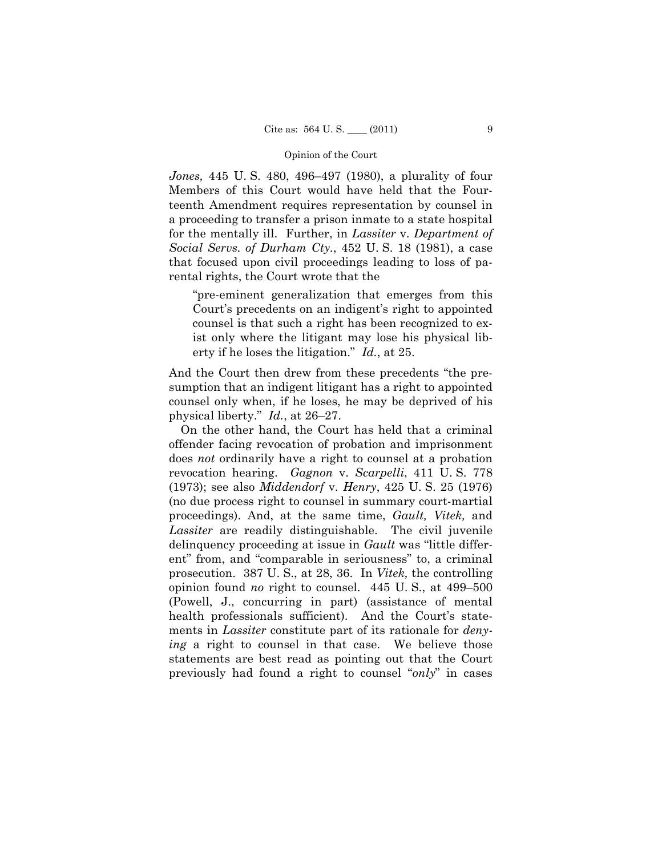*Jones,* 445 U. S. 480, 496–497 (1980), a plurality of four Members of this Court would have held that the Fourteenth Amendment requires representation by counsel in a proceeding to transfer a prison inmate to a state hospital for the mentally ill. Further, in *Lassiter* v. *Department of Social Servs. of Durham Cty.*, 452 U. S. 18 (1981), a case that focused upon civil proceedings leading to loss of parental rights, the Court wrote that the

"pre-eminent generalization that emerges from this Court's precedents on an indigent's right to appointed counsel is that such a right has been recognized to exist only where the litigant may lose his physical liberty if he loses the litigation." *Id.*, at 25.

And the Court then drew from these precedents "the presumption that an indigent litigant has a right to appointed counsel only when, if he loses, he may be deprived of his physical liberty." *Id.*, at 26–27.

On the other hand, the Court has held that a criminal offender facing revocation of probation and imprisonment does *not* ordinarily have a right to counsel at a probation revocation hearing. *Gagnon* v. *Scarpelli*, 411 U. S. 778 (1973); see also *Middendorf* v. *Henry*, 425 U. S. 25 (1976) (no due process right to counsel in summary court-martial proceedings). And, at the same time, *Gault, Vitek,* and *Lassiter* are readily distinguishable. The civil juvenile delinquency proceeding at issue in *Gault* was "little different" from, and "comparable in seriousness" to, a criminal prosecution. 387 U. S., at 28, 36. In *Vitek,* the controlling opinion found *no* right to counsel. 445 U. S., at 499–500 (Powell, J., concurring in part) (assistance of mental health professionals sufficient). And the Court's statements in *Lassiter* constitute part of its rationale for *denying* a right to counsel in that case. We believe those statements are best read as pointing out that the Court previously had found a right to counsel "*only*" in cases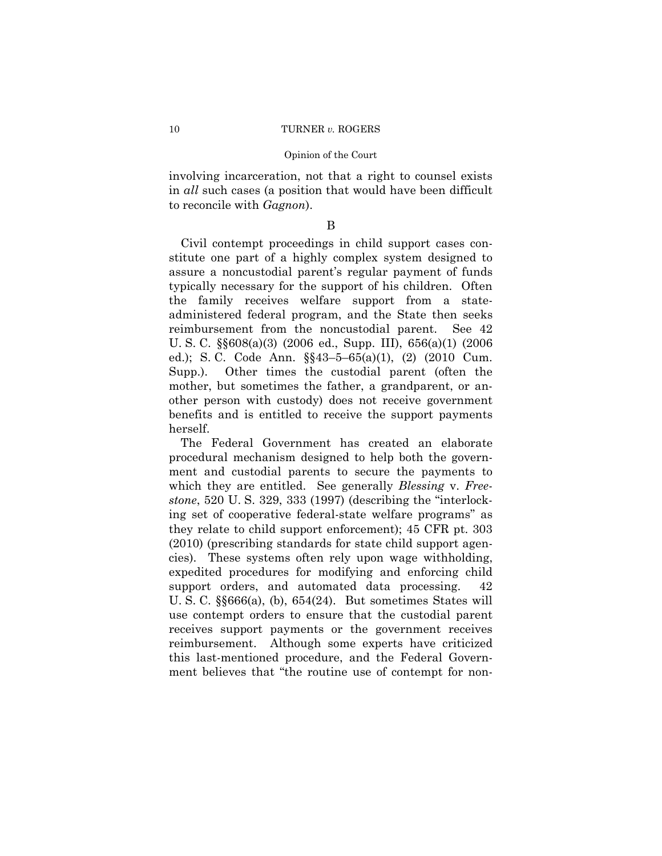involving incarceration, not that a right to counsel exists in *all* such cases (a position that would have been difficult to reconcile with *Gagnon*).

### B

Civil contempt proceedings in child support cases constitute one part of a highly complex system designed to assure a noncustodial parent's regular payment of funds typically necessary for the support of his children. Often the family receives welfare support from a stateadministered federal program, and the State then seeks reimbursement from the noncustodial parent. See 42 U. S. C. §§608(a)(3) (2006 ed., Supp. III), 656(a)(1) (2006 ed.); S. C. Code Ann. §§43–5–65(a)(1), (2) (2010 Cum. Supp.). Other times the custodial parent (often the mother, but sometimes the father, a grandparent, or another person with custody) does not receive government benefits and is entitled to receive the support payments herself.

The Federal Government has created an elaborate procedural mechanism designed to help both the government and custodial parents to secure the payments to which they are entitled. See generally *Blessing* v. *Freestone*, 520 U. S. 329, 333 (1997) (describing the "interlocking set of cooperative federal-state welfare programs" as they relate to child support enforcement); 45 CFR pt. 303 (2010) (prescribing standards for state child support agencies). These systems often rely upon wage withholding, expedited procedures for modifying and enforcing child support orders, and automated data processing. 42 U. S. C. §§666(a), (b), 654(24). But sometimes States will use contempt orders to ensure that the custodial parent receives support payments or the government receives reimbursement. Although some experts have criticized this last-mentioned procedure, and the Federal Government believes that "the routine use of contempt for non-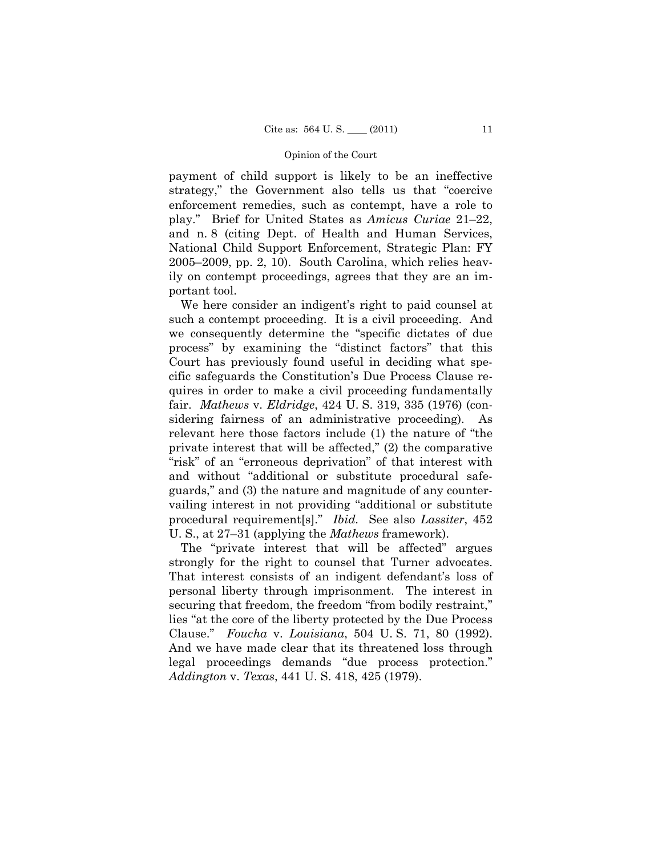payment of child support is likely to be an ineffective strategy," the Government also tells us that "coercive enforcement remedies, such as contempt, have a role to play." Brief for United States as *Amicus Curiae* 21–22, and n. 8 (citing Dept. of Health and Human Services, National Child Support Enforcement, Strategic Plan: FY 2005–2009, pp. 2, 10). South Carolina, which relies heavily on contempt proceedings, agrees that they are an important tool.

We here consider an indigent's right to paid counsel at such a contempt proceeding. It is a civil proceeding. And we consequently determine the "specific dictates of due process" by examining the "distinct factors" that this Court has previously found useful in deciding what specific safeguards the Constitution's Due Process Clause requires in order to make a civil proceeding fundamentally fair. *Mathews* v. *Eldridge*, 424 U. S. 319, 335 (1976) (considering fairness of an administrative proceeding). As relevant here those factors include (1) the nature of "the private interest that will be affected," (2) the comparative "risk" of an "erroneous deprivation" of that interest with and without "additional or substitute procedural safeguards," and (3) the nature and magnitude of any countervailing interest in not providing "additional or substitute procedural requirement[s]." *Ibid.* See also *Lassiter*, 452 U. S., at 27–31 (applying the *Mathews* framework).

The "private interest that will be affected" argues strongly for the right to counsel that Turner advocates. That interest consists of an indigent defendant's loss of personal liberty through imprisonment. The interest in securing that freedom, the freedom "from bodily restraint," lies "at the core of the liberty protected by the Due Process Clause." *Foucha* v. *Louisiana*, 504 U. S. 71, 80 (1992). And we have made clear that its threatened loss through legal proceedings demands "due process protection." *Addington* v. *Texas*, 441 U. S. 418, 425 (1979).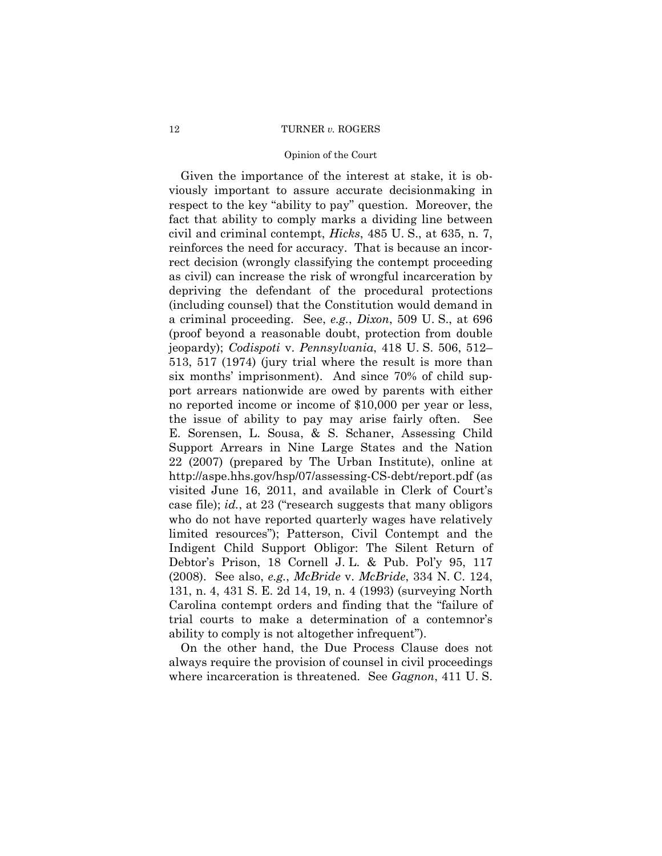#### Opinion of the Court

Given the importance of the interest at stake, it is obviously important to assure accurate decisionmaking in respect to the key "ability to pay" question. Moreover, the fact that ability to comply marks a dividing line between civil and criminal contempt, *Hicks*, 485 U. S., at 635, n. 7, reinforces the need for accuracy. That is because an incorrect decision (wrongly classifying the contempt proceeding as civil) can increase the risk of wrongful incarceration by depriving the defendant of the procedural protections (including counsel) that the Constitution would demand in a criminal proceeding. See, *e.g.*, *Dixon*, 509 U. S., at 696 (proof beyond a reasonable doubt, protection from double jeopardy); *Codispoti* v. *Pennsylvania*, 418 U. S. 506, 512– 513, 517 (1974) (jury trial where the result is more than six months' imprisonment). And since 70% of child support arrears nationwide are owed by parents with either no reported income or income of \$10,000 per year or less, the issue of ability to pay may arise fairly often. See E. Sorensen, L. Sousa, & S. Schaner, Assessing Child Support Arrears in Nine Large States and the Nation 22 (2007) (prepared by The Urban Institute), online at http://aspe.hhs.gov/hsp/07/assessing-CS-debt/report.pdf (as visited June 16, 2011, and available in Clerk of Court's case file); *id.*, at 23 ("research suggests that many obligors who do not have reported quarterly wages have relatively limited resources"); Patterson, Civil Contempt and the Indigent Child Support Obligor: The Silent Return of Debtor's Prison, 18 Cornell J. L. & Pub. Pol'y 95, 117 (2008). See also, *e.g.*, *McBride* v. *McBride*, 334 N. C. 124, 131, n. 4, 431 S. E. 2d 14, 19, n. 4 (1993) (surveying North Carolina contempt orders and finding that the "failure of trial courts to make a determination of a contemnor's ability to comply is not altogether infrequent").

On the other hand, the Due Process Clause does not always require the provision of counsel in civil proceedings where incarceration is threatened. See *Gagnon*, 411 U. S.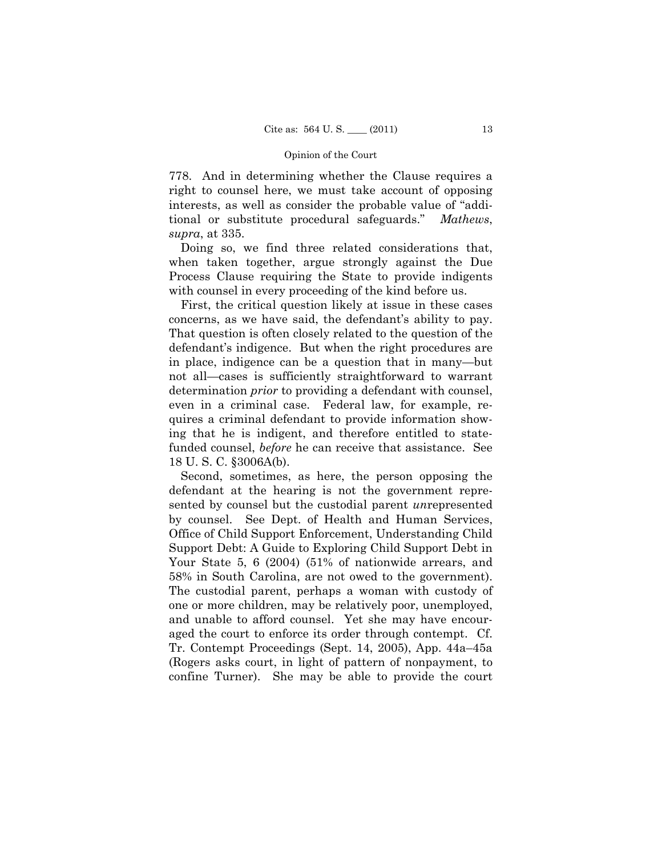778. And in determining whether the Clause requires a right to counsel here, we must take account of opposing interests, as well as consider the probable value of "additional or substitute procedural safeguards." *Mathews*, *supra*, at 335.

Doing so, we find three related considerations that, when taken together, argue strongly against the Due Process Clause requiring the State to provide indigents with counsel in every proceeding of the kind before us.

First, the critical question likely at issue in these cases concerns, as we have said, the defendant's ability to pay. That question is often closely related to the question of the defendant's indigence. But when the right procedures are in place, indigence can be a question that in many—but not all—cases is sufficiently straightforward to warrant determination *prior* to providing a defendant with counsel, even in a criminal case. Federal law, for example, requires a criminal defendant to provide information showing that he is indigent, and therefore entitled to statefunded counsel, *before* he can receive that assistance. See 18 U. S. C. §3006A(b).

Second, sometimes, as here, the person opposing the defendant at the hearing is not the government represented by counsel but the custodial parent *un*represented by counsel. See Dept. of Health and Human Services, Office of Child Support Enforcement, Understanding Child Support Debt: A Guide to Exploring Child Support Debt in Your State 5, 6 (2004) (51% of nationwide arrears, and 58% in South Carolina, are not owed to the government). The custodial parent, perhaps a woman with custody of one or more children, may be relatively poor, unemployed, and unable to afford counsel. Yet she may have encouraged the court to enforce its order through contempt. Cf. Tr. Contempt Proceedings (Sept. 14, 2005), App. 44a–45a (Rogers asks court, in light of pattern of nonpayment, to confine Turner). She may be able to provide the court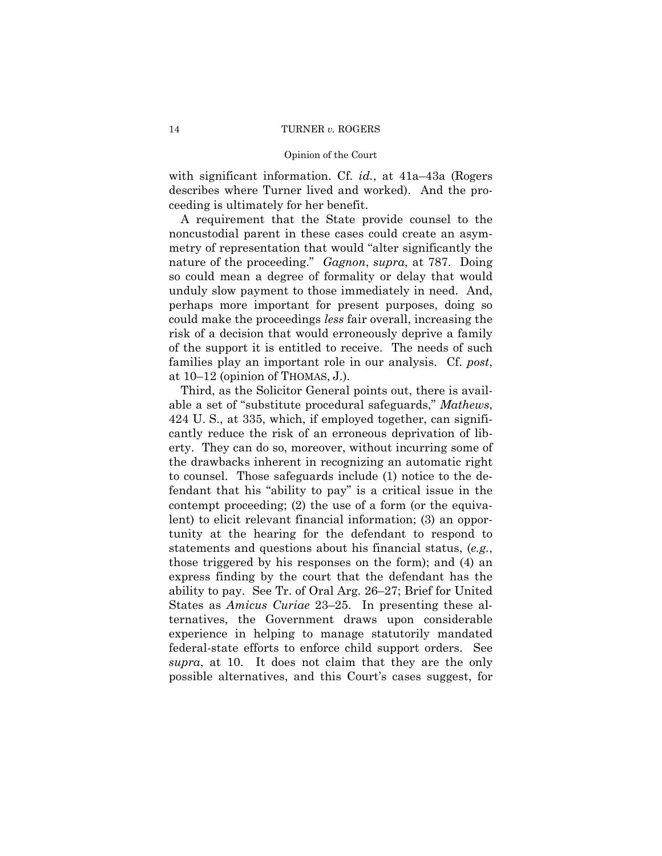with significant information. Cf. *id.*, at 41a–43a (Rogers describes where Turner lived and worked). And the proceeding is ultimately for her benefit.

A requirement that the State provide counsel to the noncustodial parent in these cases could create an asymmetry of representation that would "alter significantly the nature of the proceeding." *Gagnon*, *supra*, at 787. Doing so could mean a degree of formality or delay that would unduly slow payment to those immediately in need. And, perhaps more important for present purposes, doing so could make the proceedings *less* fair overall, increasing the risk of a decision that would erroneously deprive a family of the support it is entitled to receive. The needs of such families play an important role in our analysis. Cf. *post*, at 10–12 (opinion of THOMAS, J.).

Third, as the Solicitor General points out, there is available a set of "substitute procedural safeguards," *Mathews*, 424 U. S., at 335, which, if employed together, can significantly reduce the risk of an erroneous deprivation of liberty. They can do so, moreover, without incurring some of the drawbacks inherent in recognizing an automatic right to counsel. Those safeguards include (1) notice to the defendant that his "ability to pay" is a critical issue in the contempt proceeding; (2) the use of a form (or the equivalent) to elicit relevant financial information; (3) an opportunity at the hearing for the defendant to respond to statements and questions about his financial status, (*e.g.*, those triggered by his responses on the form); and (4) an express finding by the court that the defendant has the ability to pay. See Tr. of Oral Arg. 26–27; Brief for United States as *Amicus Curiae* 23–25. In presenting these alternatives, the Government draws upon considerable experience in helping to manage statutorily mandated federal-state efforts to enforce child support orders. See *supra*, at 10. It does not claim that they are the only possible alternatives, and this Court's cases suggest, for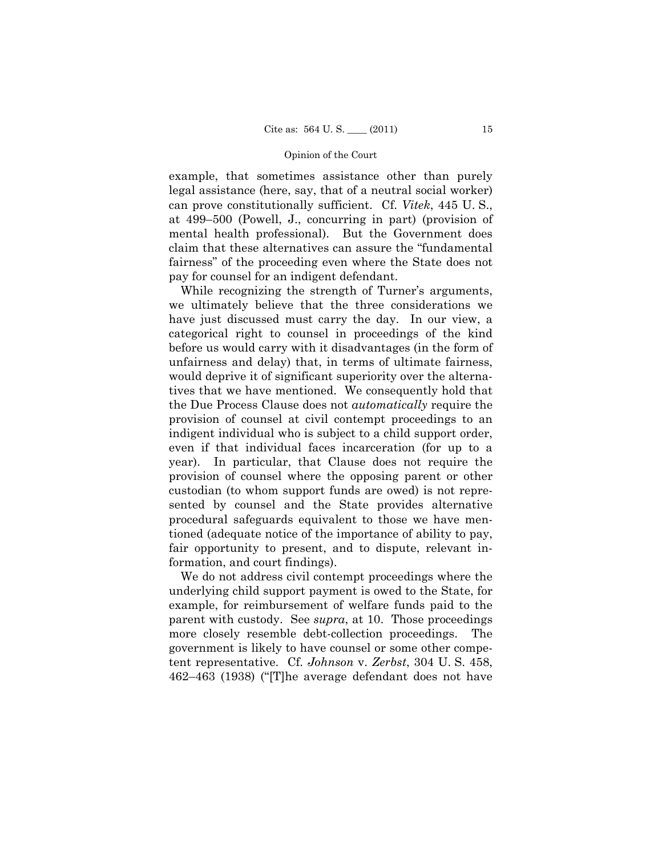example, that sometimes assistance other than purely legal assistance (here, say, that of a neutral social worker) can prove constitutionally sufficient. Cf. *Vitek*, 445 U. S., at 499–500 (Powell, J., concurring in part) (provision of mental health professional). But the Government does claim that these alternatives can assure the "fundamental fairness" of the proceeding even where the State does not pay for counsel for an indigent defendant.

While recognizing the strength of Turner's arguments, we ultimately believe that the three considerations we have just discussed must carry the day. In our view, a categorical right to counsel in proceedings of the kind before us would carry with it disadvantages (in the form of unfairness and delay) that, in terms of ultimate fairness, would deprive it of significant superiority over the alternatives that we have mentioned. We consequently hold that the Due Process Clause does not *automatically* require the provision of counsel at civil contempt proceedings to an indigent individual who is subject to a child support order, even if that individual faces incarceration (for up to a year). In particular, that Clause does not require the provision of counsel where the opposing parent or other custodian (to whom support funds are owed) is not represented by counsel and the State provides alternative procedural safeguards equivalent to those we have mentioned (adequate notice of the importance of ability to pay, fair opportunity to present, and to dispute, relevant information, and court findings).

We do not address civil contempt proceedings where the underlying child support payment is owed to the State, for example, for reimbursement of welfare funds paid to the parent with custody. See *supra*, at 10. Those proceedings more closely resemble debt-collection proceedings. The government is likely to have counsel or some other competent representative. Cf. *Johnson* v. *Zerbst*, 304 U. S. 458, 462–463 (1938) ("[T]he average defendant does not have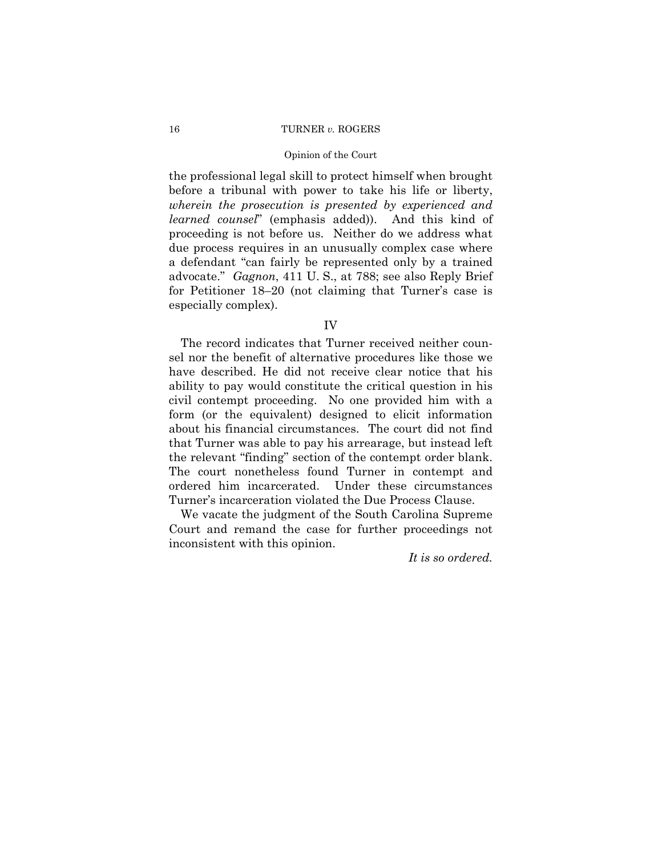# Opinion of the Court

the professional legal skill to protect himself when brought before a tribunal with power to take his life or liberty, *wherein the prosecution is presented by experienced and learned counsel*" (emphasis added)). And this kind of proceeding is not before us. Neither do we address what due process requires in an unusually complex case where a defendant "can fairly be represented only by a trained advocate." *Gagnon*, 411 U. S., at 788; see also Reply Brief for Petitioner 18–20 (not claiming that Turner's case is especially complex).

IV

The record indicates that Turner received neither counsel nor the benefit of alternative procedures like those we have described. He did not receive clear notice that his ability to pay would constitute the critical question in his civil contempt proceeding. No one provided him with a form (or the equivalent) designed to elicit information about his financial circumstances. The court did not find that Turner was able to pay his arrearage, but instead left the relevant "finding" section of the contempt order blank. The court nonetheless found Turner in contempt and ordered him incarcerated. Under these circumstances Turner's incarceration violated the Due Process Clause.

We vacate the judgment of the South Carolina Supreme Court and remand the case for further proceedings not inconsistent with this opinion.

*It is so ordered.*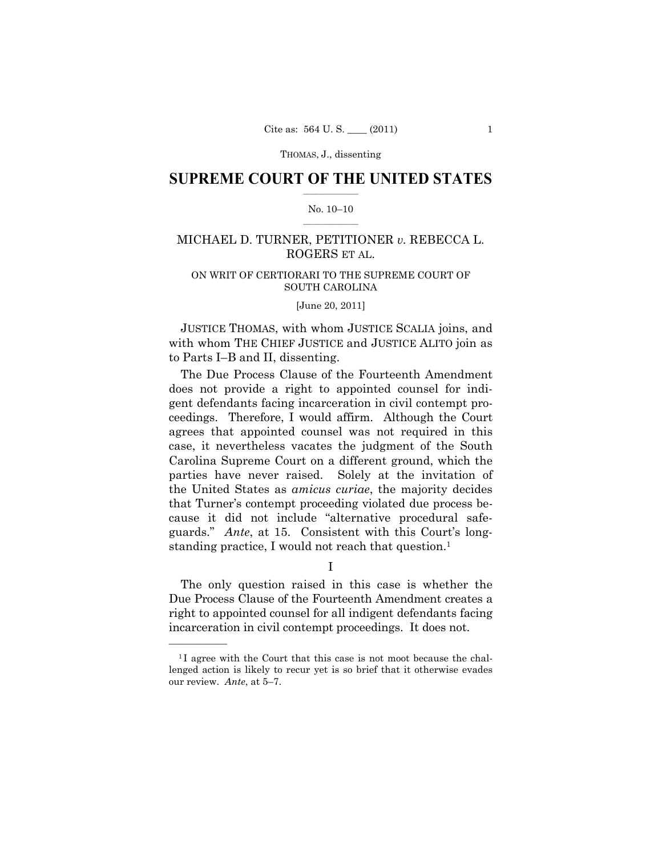### $\frac{1}{2}$  ,  $\frac{1}{2}$  ,  $\frac{1}{2}$  ,  $\frac{1}{2}$  ,  $\frac{1}{2}$  ,  $\frac{1}{2}$  ,  $\frac{1}{2}$ **SUPREME COURT OF THE UNITED STATES**

### $\frac{1}{2}$  ,  $\frac{1}{2}$  ,  $\frac{1}{2}$  ,  $\frac{1}{2}$  ,  $\frac{1}{2}$  ,  $\frac{1}{2}$ No. 10–10

# MICHAEL D. TURNER, PETITIONER *v.* REBECCA L. ROGERS ET AL.

# ON WRIT OF CERTIORARI TO THE SUPREME COURT OF SOUTH CAROLINA

[June 20, 2011]

 JUSTICE THOMAS, with whom JUSTICE SCALIA joins, and with whom THE CHIEF JUSTICE and JUSTICE ALITO join as to Parts I–B and II, dissenting.

The Due Process Clause of the Fourteenth Amendment does not provide a right to appointed counsel for indigent defendants facing incarceration in civil contempt proceedings. Therefore, I would affirm. Although the Court agrees that appointed counsel was not required in this case, it nevertheless vacates the judgment of the South Carolina Supreme Court on a different ground, which the parties have never raised. Solely at the invitation of the United States as *amicus curiae*, the majority decides that Turner's contempt proceeding violated due process because it did not include "alternative procedural safeguards." *Ante*, at 15. Consistent with this Court's longstanding practice, I would not reach that question.<sup>1</sup>

I

The only question raised in this case is whether the Due Process Clause of the Fourteenth Amendment creates a right to appointed counsel for all indigent defendants facing incarceration in civil contempt proceedings. It does not.

<sup>&</sup>lt;sup>1</sup>I agree with the Court that this case is not moot because the challenged action is likely to recur yet is so brief that it otherwise evades our review. *Ante*, at 5–7.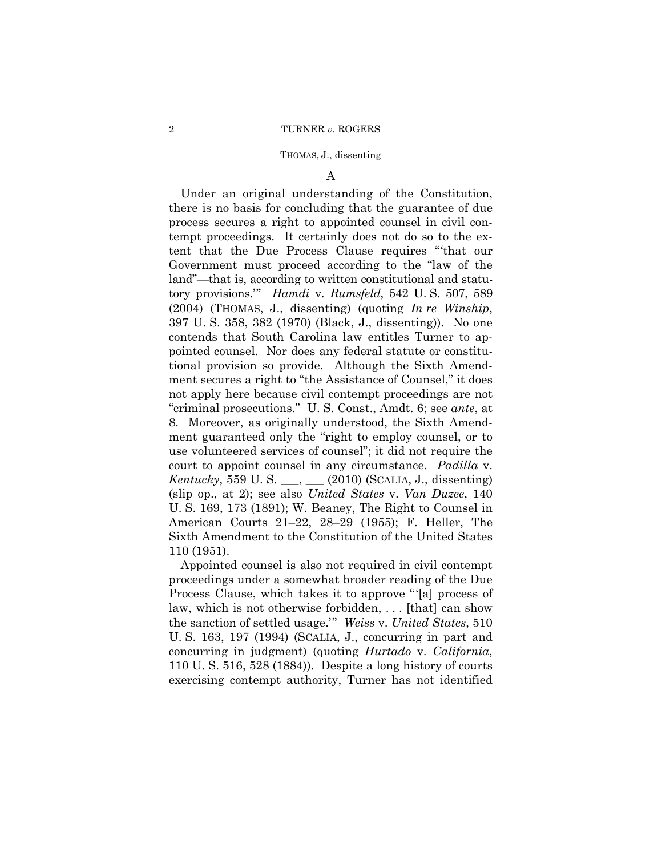A

Under an original understanding of the Constitution, there is no basis for concluding that the guarantee of due process secures a right to appointed counsel in civil contempt proceedings. It certainly does not do so to the extent that the Due Process Clause requires "'that our Government must proceed according to the "law of the land"—that is, according to written constitutional and statutory provisions.'" *Hamdi* v. *Rumsfeld*, 542 U. S. 507, 589 (2004) (THOMAS, J., dissenting) (quoting *In re Winship*, 397 U. S. 358, 382 (1970) (Black, J., dissenting)). No one contends that South Carolina law entitles Turner to appointed counsel. Nor does any federal statute or constitutional provision so provide. Although the Sixth Amendment secures a right to "the Assistance of Counsel," it does not apply here because civil contempt proceedings are not "criminal prosecutions." U. S. Const., Amdt. 6; see *ante*, at 8. Moreover, as originally understood, the Sixth Amendment guaranteed only the "right to employ counsel, or to use volunteered services of counsel"; it did not require the court to appoint counsel in any circumstance. *Padilla* v. *Kentucky*, 559 U. S. \_\_\_, \_\_\_ (2010) (SCALIA, J., dissenting) (slip op., at 2); see also *United States* v. *Van Duzee*, 140 U. S. 169, 173 (1891); W. Beaney, The Right to Counsel in American Courts 21–22, 28–29 (1955); F. Heller, The Sixth Amendment to the Constitution of the United States 110 (1951).

Appointed counsel is also not required in civil contempt proceedings under a somewhat broader reading of the Due Process Clause, which takes it to approve "'[a] process of law, which is not otherwise forbidden, . . . [that] can show the sanction of settled usage.'" *Weiss* v. *United States*, 510 U. S. 163, 197 (1994) (SCALIA, J., concurring in part and concurring in judgment) (quoting *Hurtado* v. *California*, 110 U. S. 516, 528 (1884)). Despite a long history of courts exercising contempt authority, Turner has not identified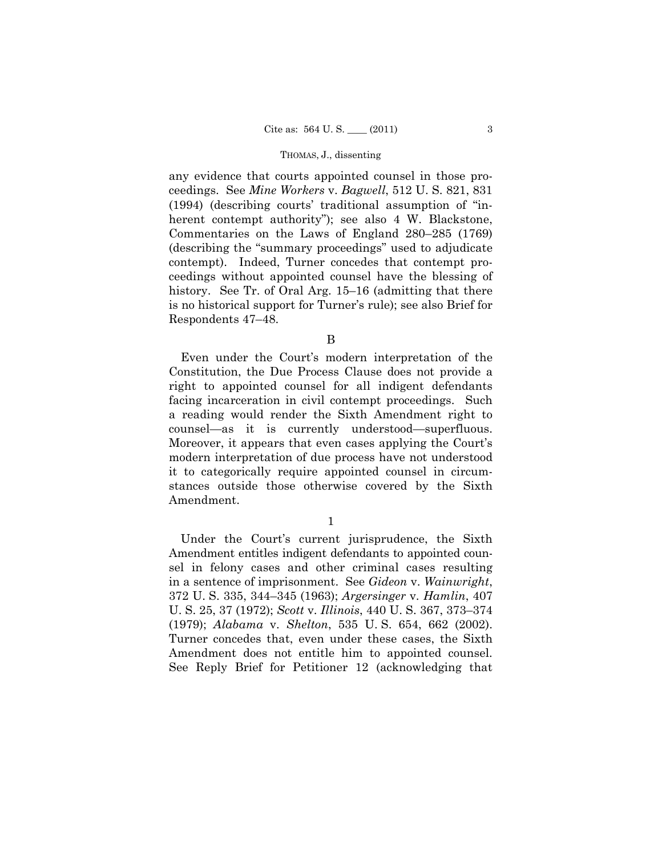any evidence that courts appointed counsel in those proceedings. See *Mine Workers* v. *Bagwell*, 512 U. S. 821, 831 (1994) (describing courts' traditional assumption of "inherent contempt authority"); see also 4 W. Blackstone, Commentaries on the Laws of England 280–285 (1769) (describing the "summary proceedings" used to adjudicate contempt). Indeed, Turner concedes that contempt proceedings without appointed counsel have the blessing of history. See Tr. of Oral Arg. 15–16 (admitting that there is no historical support for Turner's rule); see also Brief for Respondents 47–48.

B

Even under the Court's modern interpretation of the Constitution, the Due Process Clause does not provide a right to appointed counsel for all indigent defendants facing incarceration in civil contempt proceedings. Such a reading would render the Sixth Amendment right to counsel—as it is currently understood—superfluous. Moreover, it appears that even cases applying the Court's modern interpretation of due process have not understood it to categorically require appointed counsel in circumstances outside those otherwise covered by the Sixth Amendment.

1

Under the Court's current jurisprudence, the Sixth Amendment entitles indigent defendants to appointed counsel in felony cases and other criminal cases resulting in a sentence of imprisonment. See *Gideon* v. *Wainwright*, 372 U. S. 335, 344–345 (1963); *Argersinger* v. *Hamlin*, 407 U. S. 25, 37 (1972); *Scott* v. *Illinois*, 440 U. S. 367, 373–374 (1979); *Alabama* v. *Shelton*, 535 U. S. 654, 662 (2002). Turner concedes that, even under these cases, the Sixth Amendment does not entitle him to appointed counsel. See Reply Brief for Petitioner 12 (acknowledging that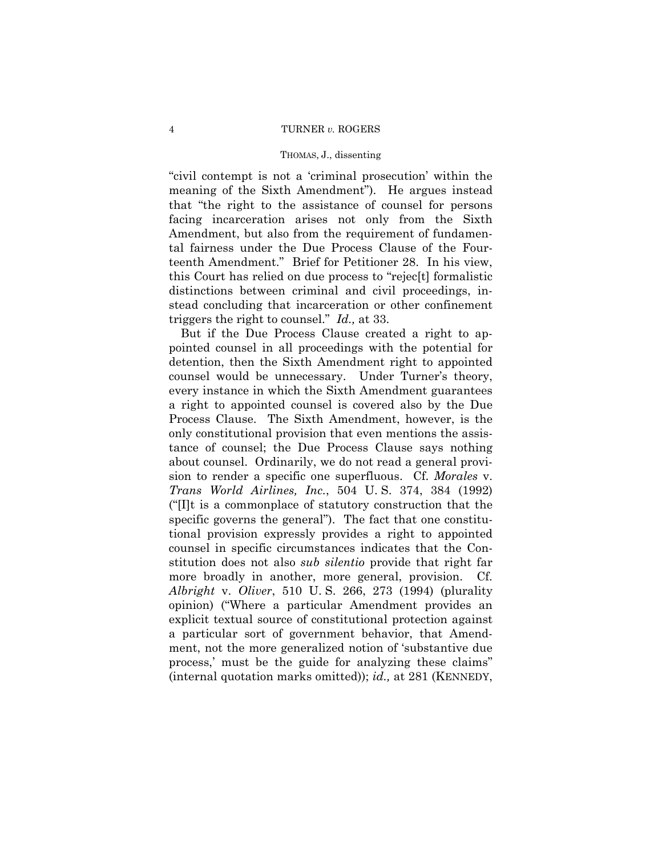#### THOMAS, J., dissenting

"civil contempt is not a 'criminal prosecution' within the meaning of the Sixth Amendment"). He argues instead that "the right to the assistance of counsel for persons facing incarceration arises not only from the Sixth Amendment, but also from the requirement of fundamental fairness under the Due Process Clause of the Fourteenth Amendment." Brief for Petitioner 28. In his view, this Court has relied on due process to "rejec[t] formalistic distinctions between criminal and civil proceedings, instead concluding that incarceration or other confinement triggers the right to counsel." *Id.,* at 33.

But if the Due Process Clause created a right to appointed counsel in all proceedings with the potential for detention, then the Sixth Amendment right to appointed counsel would be unnecessary. Under Turner's theory, every instance in which the Sixth Amendment guarantees a right to appointed counsel is covered also by the Due Process Clause. The Sixth Amendment, however, is the only constitutional provision that even mentions the assistance of counsel; the Due Process Clause says nothing about counsel. Ordinarily, we do not read a general provision to render a specific one superfluous. Cf. *Morales* v. *Trans World Airlines, Inc.*, 504 U. S. 374, 384 (1992) ("[I]t is a commonplace of statutory construction that the specific governs the general"). The fact that one constitutional provision expressly provides a right to appointed counsel in specific circumstances indicates that the Constitution does not also *sub silentio* provide that right far more broadly in another, more general, provision. Cf. *Albright* v. *Oliver*, 510 U. S. 266, 273 (1994) (plurality opinion) ("Where a particular Amendment provides an explicit textual source of constitutional protection against a particular sort of government behavior, that Amendment, not the more generalized notion of 'substantive due process,' must be the guide for analyzing these claims" (internal quotation marks omitted)); *id.,* at 281 (KENNEDY,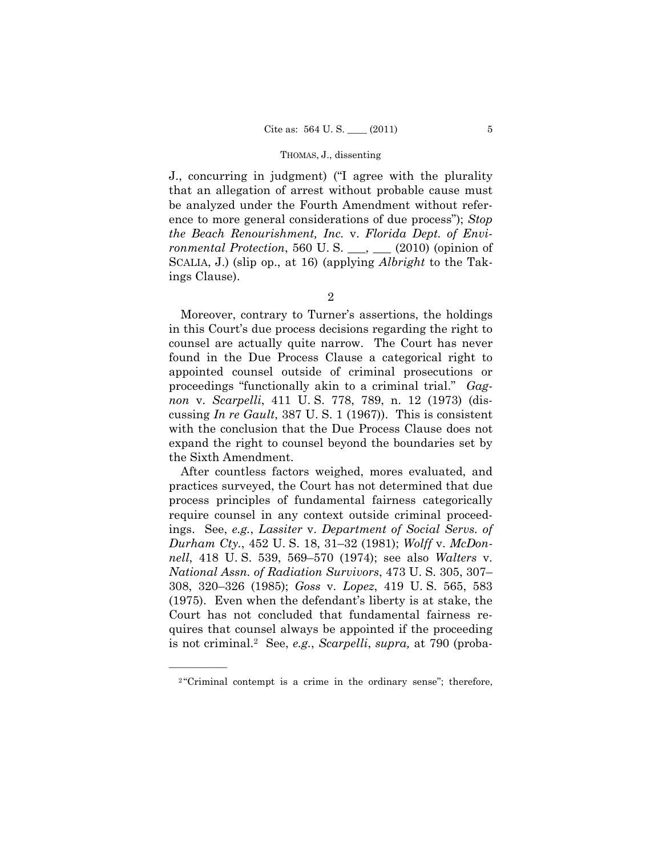J., concurring in judgment) ("I agree with the plurality that an allegation of arrest without probable cause must be analyzed under the Fourth Amendment without reference to more general considerations of due process"); *Stop the Beach Renourishment, Inc.* v. *Florida Dept. of Environmental Protection*, 560 U.S. <sub>\_\_\_</sub>, \_\_\_ (2010) (opinion of SCALIA, J.) (slip op., at 16) (applying *Albright* to the Takings Clause).

Moreover, contrary to Turner's assertions, the holdings in this Court's due process decisions regarding the right to counsel are actually quite narrow. The Court has never found in the Due Process Clause a categorical right to appointed counsel outside of criminal prosecutions or proceedings "functionally akin to a criminal trial." *Gagnon* v. *Scarpelli*, 411 U. S. 778, 789, n. 12 (1973) (discussing *In re Gault*, 387 U. S. 1 (1967)). This is consistent with the conclusion that the Due Process Clause does not expand the right to counsel beyond the boundaries set by the Sixth Amendment.

After countless factors weighed, mores evaluated, and practices surveyed, the Court has not determined that due process principles of fundamental fairness categorically require counsel in any context outside criminal proceedings. See, *e.g.*, *Lassiter* v. *Department of Social Servs. of Durham Cty.*, 452 U. S. 18, 31–32 (1981); *Wolff* v. *McDonnell*, 418 U. S. 539, 569–570 (1974); see also *Walters* v. *National Assn. of Radiation Survivors*, 473 U. S. 305, 307– 308, 320–326 (1985); *Goss* v. *Lopez*, 419 U. S. 565, 583 (1975). Even when the defendant's liberty is at stake, the Court has not concluded that fundamental fairness requires that counsel always be appointed if the proceeding is not criminal.2 See, *e.g.*, *Scarpelli*, *supra,* at 790 (proba-

<sup>2</sup> 

<sup>&</sup>lt;sup>2</sup>"Criminal contempt is a crime in the ordinary sense"; therefore,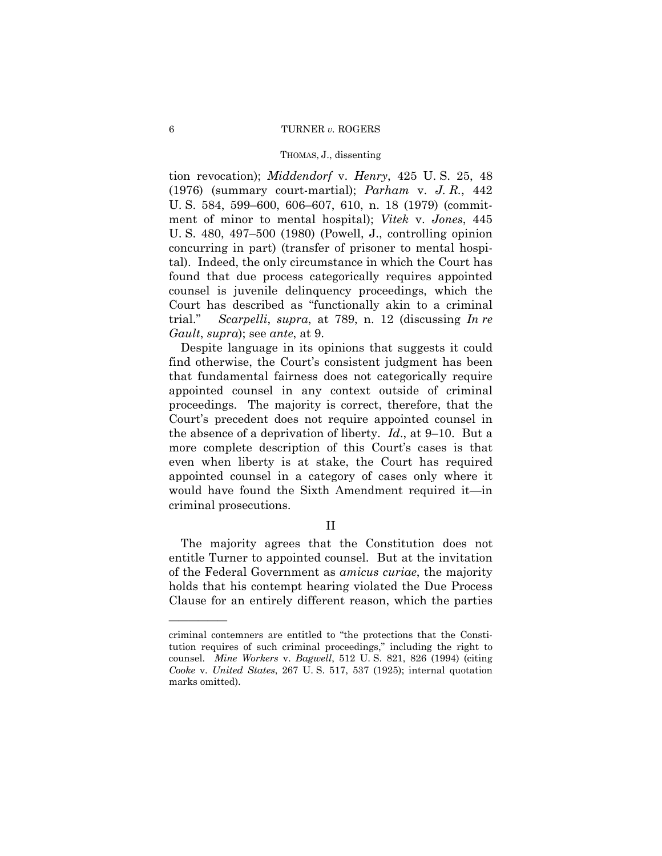#### THOMAS, J., dissenting

tion revocation); *Middendorf* v. *Henry*, 425 U. S. 25, 48 (1976) (summary court-martial); *Parham* v. *J. R.*, 442 U. S. 584, 599–600, 606–607, 610, n. 18 (1979) (commitment of minor to mental hospital); *Vitek* v. *Jones*, 445 U. S. 480, 497–500 (1980) (Powell, J., controlling opinion concurring in part) (transfer of prisoner to mental hospital). Indeed, the only circumstance in which the Court has found that due process categorically requires appointed counsel is juvenile delinquency proceedings, which the Court has described as "functionally akin to a criminal trial." *Scarpelli*, *supra*, at 789, n. 12 (discussing *In re Gault*, *supra*); see *ante*, at 9.

Despite language in its opinions that suggests it could find otherwise, the Court's consistent judgment has been that fundamental fairness does not categorically require appointed counsel in any context outside of criminal proceedings. The majority is correct, therefore, that the Court's precedent does not require appointed counsel in the absence of a deprivation of liberty. *Id*., at 9–10. But a more complete description of this Court's cases is that even when liberty is at stake, the Court has required appointed counsel in a category of cases only where it would have found the Sixth Amendment required it—in criminal prosecutions.

# II

The majority agrees that the Constitution does not entitle Turner to appointed counsel. But at the invitation of the Federal Government as *amicus curiae*, the majority holds that his contempt hearing violated the Due Process Clause for an entirely different reason, which the parties

criminal contemners are entitled to "the protections that the Constitution requires of such criminal proceedings," including the right to counsel. *Mine Workers* v. *Bagwell*, 512 U. S. 821, 826 (1994) (citing *Cooke* v. *United States*, 267 U. S. 517, 537 (1925); internal quotation marks omitted).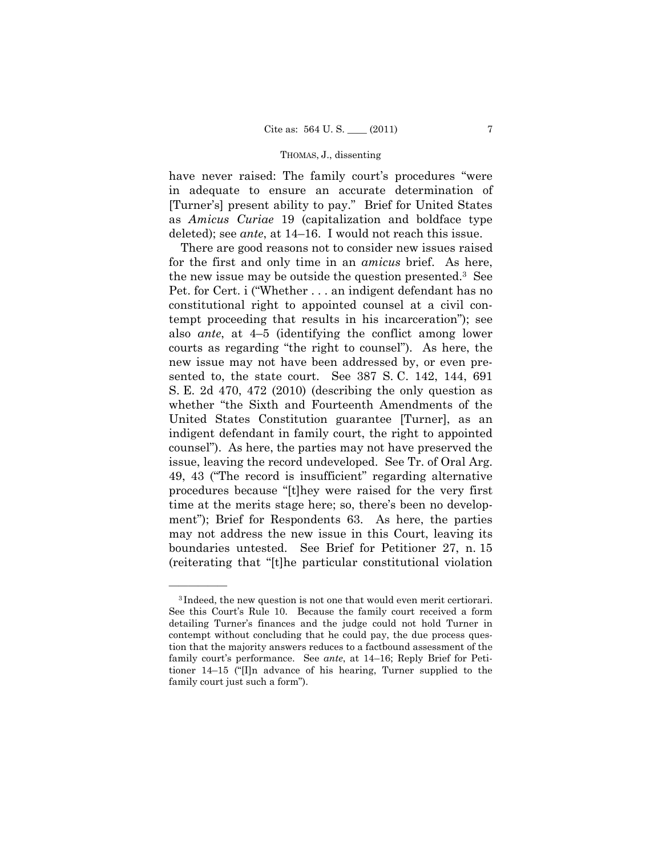have never raised: The family court's procedures "were in adequate to ensure an accurate determination of [Turner's] present ability to pay." Brief for United States as *Amicus Curiae* 19 (capitalization and boldface type deleted); see *ante*, at 14–16. I would not reach this issue.

There are good reasons not to consider new issues raised for the first and only time in an *amicus* brief. As here, the new issue may be outside the question presented.3 See Pet. for Cert. i ("Whether . . . an indigent defendant has no constitutional right to appointed counsel at a civil contempt proceeding that results in his incarceration"); see also *ante*, at 4–5 (identifying the conflict among lower courts as regarding "the right to counsel"). As here, the new issue may not have been addressed by, or even presented to, the state court. See 387 S. C. 142, 144, 691 S. E. 2d 470, 472 (2010) (describing the only question as whether "the Sixth and Fourteenth Amendments of the United States Constitution guarantee [Turner], as an indigent defendant in family court, the right to appointed counsel"). As here, the parties may not have preserved the issue, leaving the record undeveloped. See Tr. of Oral Arg. 49, 43 ("The record is insufficient" regarding alternative procedures because "[t]hey were raised for the very first time at the merits stage here; so, there's been no development"); Brief for Respondents 63. As here, the parties may not address the new issue in this Court, leaving its boundaries untested. See Brief for Petitioner 27, n. 15 (reiterating that "[t]he particular constitutional violation

<sup>3</sup> Indeed, the new question is not one that would even merit certiorari. See this Court's Rule 10. Because the family court received a form detailing Turner's finances and the judge could not hold Turner in contempt without concluding that he could pay, the due process question that the majority answers reduces to a factbound assessment of the family court's performance. See *ante*, at 14–16; Reply Brief for Petitioner 14–15 ("[I]n advance of his hearing, Turner supplied to the family court just such a form").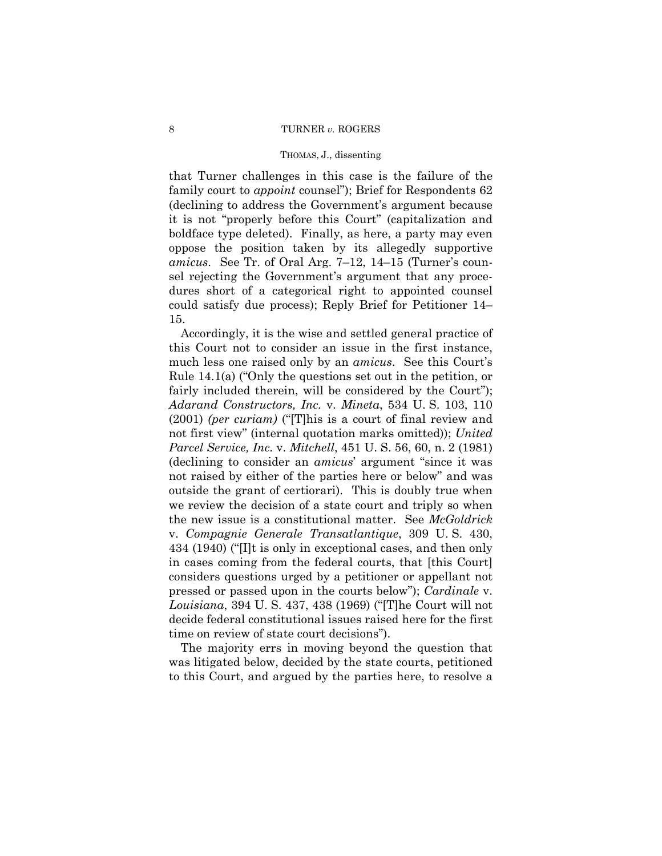#### THOMAS, J., dissenting

that Turner challenges in this case is the failure of the family court to *appoint* counsel"); Brief for Respondents 62 (declining to address the Government's argument because it is not "properly before this Court" (capitalization and boldface type deleted). Finally, as here, a party may even oppose the position taken by its allegedly supportive *amicus*. See Tr. of Oral Arg. 7–12, 14–15 (Turner's counsel rejecting the Government's argument that any procedures short of a categorical right to appointed counsel could satisfy due process); Reply Brief for Petitioner 14– 15.

Accordingly, it is the wise and settled general practice of this Court not to consider an issue in the first instance, much less one raised only by an *amicus*. See this Court's Rule 14.1(a) ("Only the questions set out in the petition, or fairly included therein, will be considered by the Court"); *Adarand Constructors, Inc.* v. *Mineta*, 534 U. S. 103, 110 (2001) *(per curiam)* ("[T]his is a court of final review and not first view" (internal quotation marks omitted)); *United Parcel Service, Inc.* v. *Mitchell*, 451 U. S. 56, 60, n. 2 (1981) (declining to consider an *amicus*' argument "since it was not raised by either of the parties here or below" and was outside the grant of certiorari). This is doubly true when we review the decision of a state court and triply so when the new issue is a constitutional matter. See *McGoldrick*  v. *Compagnie Generale Transatlantique*, 309 U. S. 430, 434 (1940) ("[I]t is only in exceptional cases, and then only in cases coming from the federal courts, that [this Court] considers questions urged by a petitioner or appellant not pressed or passed upon in the courts below"); *Cardinale* v. *Louisiana*, 394 U. S. 437, 438 (1969) ("[T]he Court will not decide federal constitutional issues raised here for the first time on review of state court decisions").

The majority errs in moving beyond the question that was litigated below, decided by the state courts, petitioned to this Court, and argued by the parties here, to resolve a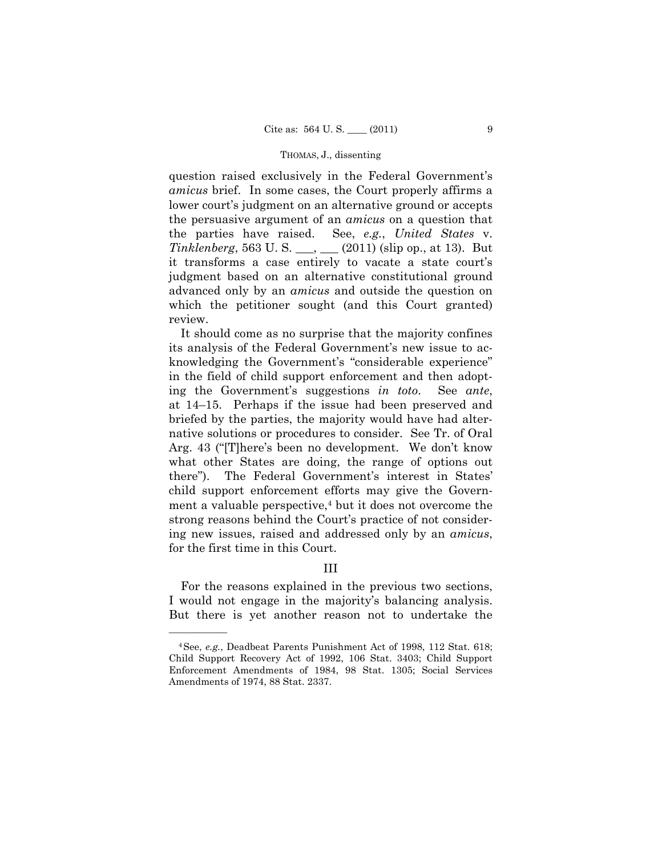question raised exclusively in the Federal Government's *amicus* brief. In some cases, the Court properly affirms a lower court's judgment on an alternative ground or accepts the persuasive argument of an *amicus* on a question that the parties have raised. See, *e.g.*, *United States* v. *Tinklenberg*, 563 U. S. \_\_\_, \_\_\_ (2011) (slip op., at 13). But it transforms a case entirely to vacate a state court's judgment based on an alternative constitutional ground advanced only by an *amicus* and outside the question on which the petitioner sought (and this Court granted) review.

It should come as no surprise that the majority confines its analysis of the Federal Government's new issue to acknowledging the Government's "considerable experience" in the field of child support enforcement and then adopting the Government's suggestions *in toto*. See *ante*, at 14–15. Perhaps if the issue had been preserved and briefed by the parties, the majority would have had alternative solutions or procedures to consider. See Tr. of Oral Arg. 43 ("[T]here's been no development. We don't know what other States are doing, the range of options out there"). The Federal Government's interest in States' child support enforcement efforts may give the Government a valuable perspective,<sup>4</sup> but it does not overcome the strong reasons behind the Court's practice of not considering new issues, raised and addressed only by an *amicus*, for the first time in this Court.

# III

For the reasons explained in the previous two sections, I would not engage in the majority's balancing analysis. But there is yet another reason not to undertake the

<sup>4</sup>See, *e.g.*, Deadbeat Parents Punishment Act of 1998, 112 Stat. 618; Child Support Recovery Act of 1992, 106 Stat. 3403; Child Support Enforcement Amendments of 1984, 98 Stat. 1305; Social Services Amendments of 1974, 88 Stat. 2337.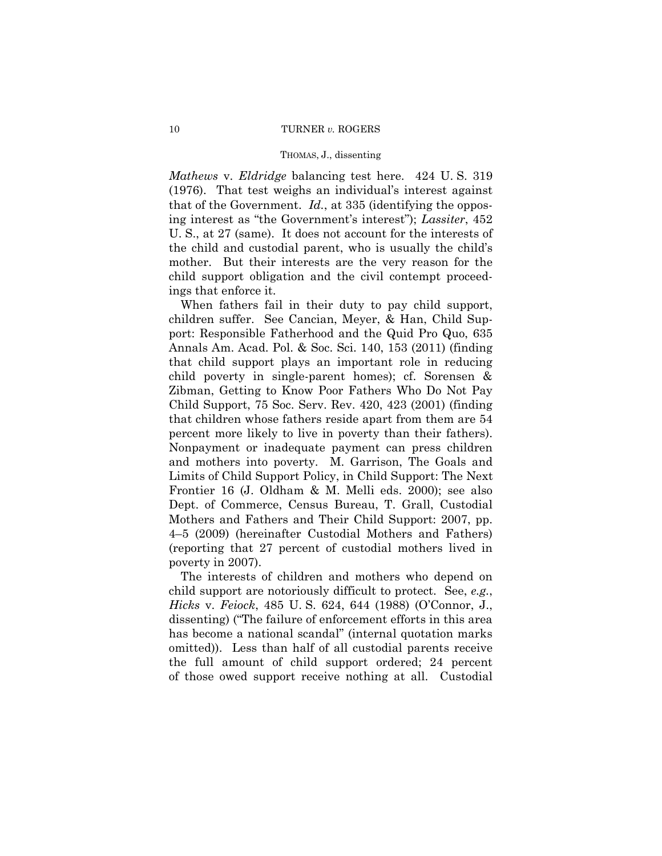#### THOMAS, J., dissenting

*Mathews* v. *Eldridge* balancing test here. 424 U. S. 319 (1976). That test weighs an individual's interest against that of the Government. *Id.*, at 335 (identifying the opposing interest as "the Government's interest"); *Lassiter*, 452 U. S., at 27 (same). It does not account for the interests of the child and custodial parent, who is usually the child's mother. But their interests are the very reason for the child support obligation and the civil contempt proceedings that enforce it.

When fathers fail in their duty to pay child support, children suffer. See Cancian, Meyer, & Han, Child Support: Responsible Fatherhood and the Quid Pro Quo, 635 Annals Am. Acad. Pol. & Soc. Sci. 140, 153 (2011) (finding that child support plays an important role in reducing child poverty in single-parent homes); cf. Sorensen & Zibman, Getting to Know Poor Fathers Who Do Not Pay Child Support, 75 Soc. Serv. Rev. 420, 423 (2001) (finding that children whose fathers reside apart from them are 54 percent more likely to live in poverty than their fathers). Nonpayment or inadequate payment can press children and mothers into poverty. M. Garrison, The Goals and Limits of Child Support Policy, in Child Support: The Next Frontier 16 (J. Oldham & M. Melli eds. 2000); see also Dept. of Commerce, Census Bureau, T. Grall, Custodial Mothers and Fathers and Their Child Support: 2007, pp. 4–5 (2009) (hereinafter Custodial Mothers and Fathers) (reporting that 27 percent of custodial mothers lived in poverty in 2007).

The interests of children and mothers who depend on child support are notoriously difficult to protect. See, *e.g.*, *Hicks* v. *Feiock*, 485 U. S. 624, 644 (1988) (O'Connor, J., dissenting) ("The failure of enforcement efforts in this area has become a national scandal" (internal quotation marks omitted)). Less than half of all custodial parents receive the full amount of child support ordered; 24 percent of those owed support receive nothing at all. Custodial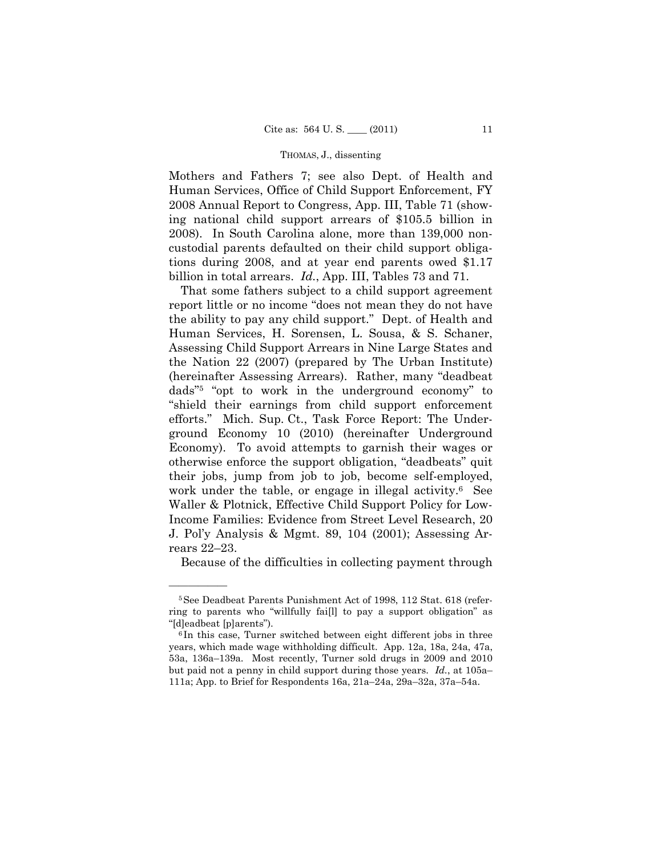Mothers and Fathers 7; see also Dept. of Health and Human Services, Office of Child Support Enforcement, FY 2008 Annual Report to Congress, App. III, Table 71 (showing national child support arrears of \$105.5 billion in 2008). In South Carolina alone, more than 139,000 noncustodial parents defaulted on their child support obligations during 2008, and at year end parents owed \$1.17 billion in total arrears. *Id.*, App. III, Tables 73 and 71.

That some fathers subject to a child support agreement report little or no income "does not mean they do not have the ability to pay any child support." Dept. of Health and Human Services, H. Sorensen, L. Sousa, & S. Schaner, Assessing Child Support Arrears in Nine Large States and the Nation 22 (2007) (prepared by The Urban Institute) (hereinafter Assessing Arrears). Rather, many "deadbeat dads"5 "opt to work in the underground economy" to "shield their earnings from child support enforcement efforts." Mich. Sup. Ct., Task Force Report: The Underground Economy 10 (2010) (hereinafter Underground Economy). To avoid attempts to garnish their wages or otherwise enforce the support obligation, "deadbeats" quit their jobs, jump from job to job, become self-employed, work under the table, or engage in illegal activity.<sup>6</sup> See Waller & Plotnick, Effective Child Support Policy for Low-Income Families: Evidence from Street Level Research, 20 J. Pol'y Analysis & Mgmt. 89, 104 (2001); Assessing Arrears 22–23.

Because of the difficulties in collecting payment through

<sup>5</sup>See Deadbeat Parents Punishment Act of 1998, 112 Stat. 618 (referring to parents who "willfully fai[l] to pay a support obligation" as "[d]eadbeat [p]arents"). 6 In this case, Turner switched between eight different jobs in three

years, which made wage withholding difficult. App. 12a, 18a, 24a, 47a, 53a, 136a–139a. Most recently, Turner sold drugs in 2009 and 2010 but paid not a penny in child support during those years. *Id.*, at 105a– 111a; App. to Brief for Respondents 16a, 21a–24a, 29a–32a, 37a–54a.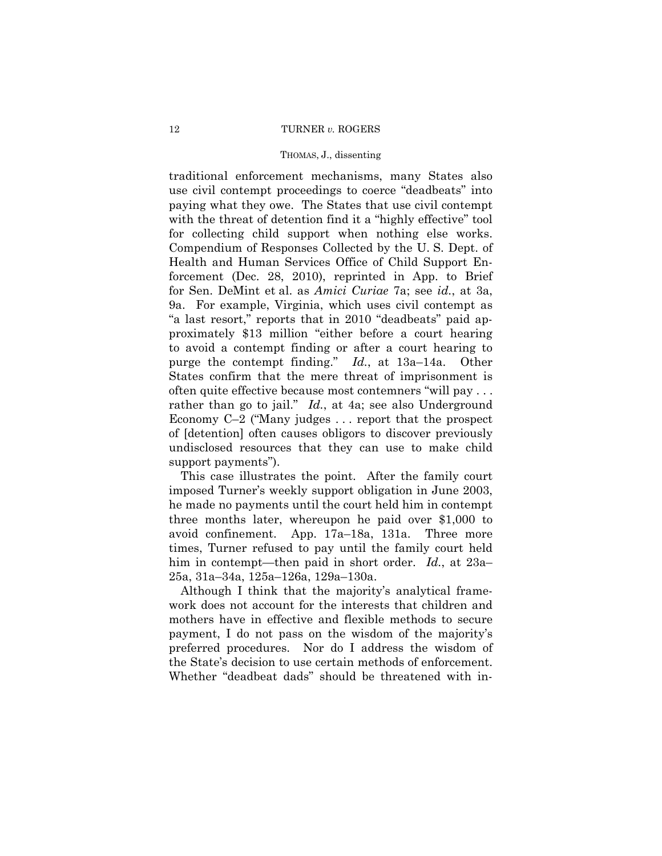#### THOMAS, J., dissenting

traditional enforcement mechanisms, many States also use civil contempt proceedings to coerce "deadbeats" into paying what they owe. The States that use civil contempt with the threat of detention find it a "highly effective" tool for collecting child support when nothing else works. Compendium of Responses Collected by the U. S. Dept. of Health and Human Services Office of Child Support Enforcement (Dec. 28, 2010), reprinted in App. to Brief for Sen. DeMint et al. as *Amici Curiae* 7a; see *id.*, at 3a, 9a. For example, Virginia, which uses civil contempt as "a last resort," reports that in 2010 "deadbeats" paid approximately \$13 million "either before a court hearing to avoid a contempt finding or after a court hearing to purge the contempt finding." *Id.*, at 13a–14a. Other States confirm that the mere threat of imprisonment is often quite effective because most contemners "will pay . . . rather than go to jail." *Id.*, at 4a; see also Underground Economy C–2 ("Many judges . . . report that the prospect of [detention] often causes obligors to discover previously undisclosed resources that they can use to make child support payments").

This case illustrates the point. After the family court imposed Turner's weekly support obligation in June 2003, he made no payments until the court held him in contempt three months later, whereupon he paid over \$1,000 to avoid confinement. App. 17a–18a, 131a. Three more times, Turner refused to pay until the family court held him in contempt—then paid in short order. *Id.*, at 23a– 25a, 31a–34a, 125a–126a, 129a–130a.

Although I think that the majority's analytical framework does not account for the interests that children and mothers have in effective and flexible methods to secure payment, I do not pass on the wisdom of the majority's preferred procedures. Nor do I address the wisdom of the State's decision to use certain methods of enforcement. Whether "deadbeat dads" should be threatened with in-